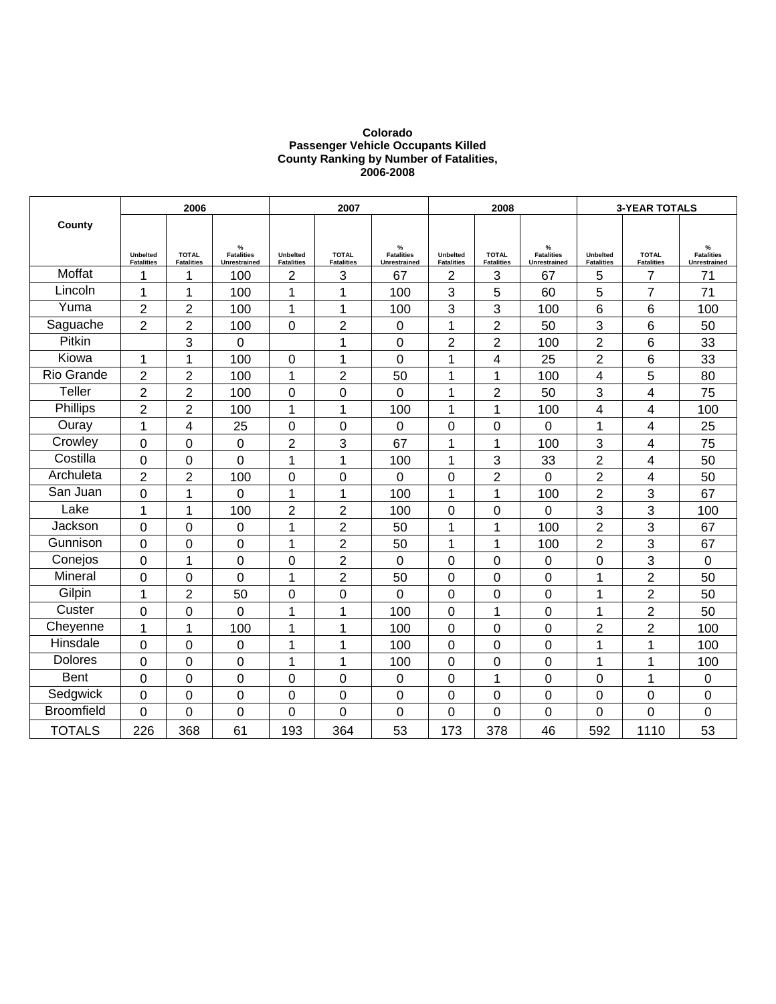#### **Colorado Passenger Vehicle Occupants Killed County Ranking by Number of Fatalities, 2006-2008**

|                   |                                      | 2006                              |                                        |                                      | 2007                              |                                        |                                      | 2008                              |                                                    |                                      | <b>3-YEAR TOTALS</b>              |                                        |
|-------------------|--------------------------------------|-----------------------------------|----------------------------------------|--------------------------------------|-----------------------------------|----------------------------------------|--------------------------------------|-----------------------------------|----------------------------------------------------|--------------------------------------|-----------------------------------|----------------------------------------|
| County            |                                      |                                   |                                        |                                      |                                   |                                        |                                      |                                   |                                                    |                                      |                                   |                                        |
|                   | <b>Unbelted</b><br><b>Fatalities</b> | <b>TOTAL</b><br><b>Fatalities</b> | %<br><b>Fatalities</b><br>Unrestrained | <b>Unbelted</b><br><b>Fatalities</b> | <b>TOTAL</b><br><b>Fatalities</b> | %<br><b>Fatalities</b><br>Unrestrained | <b>Unbelted</b><br><b>Fatalities</b> | <b>TOTAL</b><br><b>Fatalities</b> | $\frac{9}{6}$<br><b>Fatalities</b><br>Unrestrained | <b>Unbelted</b><br><b>Fatalities</b> | <b>TOTAL</b><br><b>Fatalities</b> | %<br><b>Fatalities</b><br>Unrestrained |
| Moffat            | 1                                    | 1                                 | 100                                    | 2                                    | 3                                 | 67                                     | $\overline{2}$                       | 3                                 | 67                                                 | 5                                    | $\overline{7}$                    | 71                                     |
| Lincoln           | 1                                    | 1                                 | 100                                    | 1                                    | 1                                 | 100                                    | 3                                    | 5                                 | 60                                                 | 5                                    | $\overline{7}$                    | 71                                     |
| Yuma              | $\overline{2}$                       | $\overline{2}$                    | 100                                    | 1                                    | 1                                 | 100                                    | 3                                    | 3                                 | 100                                                | 6                                    | 6                                 | 100                                    |
| Saguache          | $\overline{2}$                       | $\overline{2}$                    | 100                                    | 0                                    | $\overline{2}$                    | 0                                      | 1                                    | $\overline{2}$                    | 50                                                 | 3                                    | 6                                 | 50                                     |
| Pitkin            |                                      | 3                                 | 0                                      |                                      | 1                                 | $\overline{0}$                         | $\overline{2}$                       | $\overline{2}$                    | 100                                                | $\overline{2}$                       | 6                                 | 33                                     |
| Kiowa             | 1                                    | 1                                 | 100                                    | 0                                    | 1                                 | 0                                      | 1                                    | 4                                 | 25                                                 | 2                                    | 6                                 | 33                                     |
| Rio Grande        | $\overline{2}$                       | $\overline{2}$                    | 100                                    | 1                                    | $\overline{2}$                    | 50                                     | 1                                    | 1                                 | 100                                                | 4                                    | 5                                 | 80                                     |
| Teller            | $\overline{2}$                       | $\overline{2}$                    | 100                                    | 0                                    | $\overline{0}$                    | $\overline{0}$                         | $\mathbf 1$                          | $\overline{2}$                    | 50                                                 | 3                                    | 4                                 | 75                                     |
| Phillips          | $\overline{2}$                       | $\overline{2}$                    | 100                                    | 1                                    | 1                                 | 100                                    | 1                                    | 1                                 | 100                                                | 4                                    | 4                                 | 100                                    |
| Ouray             | 1                                    | 4                                 | 25                                     | 0                                    | 0                                 | 0                                      | 0                                    | 0                                 | 0                                                  | 1                                    | 4                                 | 25                                     |
| Crowley           | $\overline{0}$                       | 0                                 | 0                                      | $\overline{2}$                       | 3                                 | 67                                     | $\overline{1}$                       | 1                                 | 100                                                | 3                                    | 4                                 | 75                                     |
| Costilla          | 0                                    | 0                                 | $\mathbf 0$                            | 1                                    | $\overline{1}$                    | 100                                    | 1                                    | 3                                 | 33                                                 | 2                                    | 4                                 | 50                                     |
| Archuleta         | $\overline{2}$                       | $\overline{2}$                    | 100                                    | 0                                    | 0                                 | 0                                      | 0                                    | $\overline{2}$                    | 0                                                  | 2                                    | 4                                 | 50                                     |
| San Juan          | 0                                    | 1                                 | 0                                      | 1                                    | 1                                 | 100                                    | 1                                    | 1                                 | 100                                                | $\overline{2}$                       | 3                                 | 67                                     |
| Lake              | 1                                    | 1                                 | 100                                    | $\overline{2}$                       | $\overline{2}$                    | 100                                    | 0                                    | $\overline{0}$                    | 0                                                  | 3                                    | 3                                 | 100                                    |
| Jackson           | 0                                    | 0                                 | 0                                      | 1                                    | $\overline{2}$                    | 50                                     | 1                                    | 1                                 | 100                                                | 2                                    | 3                                 | 67                                     |
| Gunnison          | 0                                    | 0                                 | 0                                      | 1                                    | $\overline{2}$                    | 50                                     | 1                                    | 1                                 | 100                                                | $\overline{2}$                       | 3                                 | 67                                     |
| Conejos           | 0                                    | 1                                 | $\mathbf 0$                            | 0                                    | $\overline{2}$                    | 0                                      | 0                                    | $\overline{0}$                    | 0                                                  | 0                                    | 3                                 | $\overline{0}$                         |
| Mineral           | 0                                    | 0                                 | 0                                      | 1                                    | $\overline{c}$                    | 50                                     | 0                                    | $\mathbf 0$                       | 0                                                  | 1                                    | $\overline{2}$                    | 50                                     |
| Gilpin            | 1                                    | $\overline{2}$                    | 50                                     | 0                                    | 0                                 | 0                                      | 0                                    | $\mathbf 0$                       | 0                                                  | 1                                    | $\overline{2}$                    | 50                                     |
| Custer            | 0                                    | 0                                 | 0                                      | 1                                    | 1                                 | 100                                    | $\overline{0}$                       | 1                                 | 0                                                  | 1                                    | $\overline{2}$                    | 50                                     |
| Cheyenne          | 1                                    | 1                                 | 100                                    | 1                                    | 1                                 | 100                                    | 0                                    | 0                                 | 0                                                  | 2                                    | $\overline{2}$                    | 100                                    |
| Hinsdale          | 0                                    | 0                                 | 0                                      | 1                                    | 1                                 | 100                                    | 0                                    | 0                                 | 0                                                  | 1                                    | 1                                 | 100                                    |
| <b>Dolores</b>    | $\overline{0}$                       | 0                                 | $\mathbf 0$                            | 1                                    | 1                                 | 100                                    | $\mathbf 0$                          | $\overline{0}$                    | 0                                                  | 1                                    | 1                                 | 100                                    |
| <b>Bent</b>       | 0                                    | $\mathbf 0$                       | $\mathbf 0$                            | 0                                    | 0                                 | 0                                      | 0                                    | 1                                 | 0                                                  | 0                                    | 1                                 | 0                                      |
| Sedgwick          | 0                                    | 0                                 | 0                                      | 0                                    | 0                                 | 0                                      | 0                                    | 0                                 | 0                                                  | 0                                    | 0                                 | 0                                      |
| <b>Broomfield</b> | 0                                    | 0                                 | $\mathbf 0$                            | 0                                    | 0                                 | 0                                      | 0                                    | $\overline{0}$                    | 0                                                  | 0                                    | $\overline{0}$                    | $\overline{0}$                         |
| <b>TOTALS</b>     | 226                                  | 368                               | 61                                     | 193                                  | 364                               | 53                                     | 173                                  | 378                               | 46                                                 | 592                                  | 1110                              | 53                                     |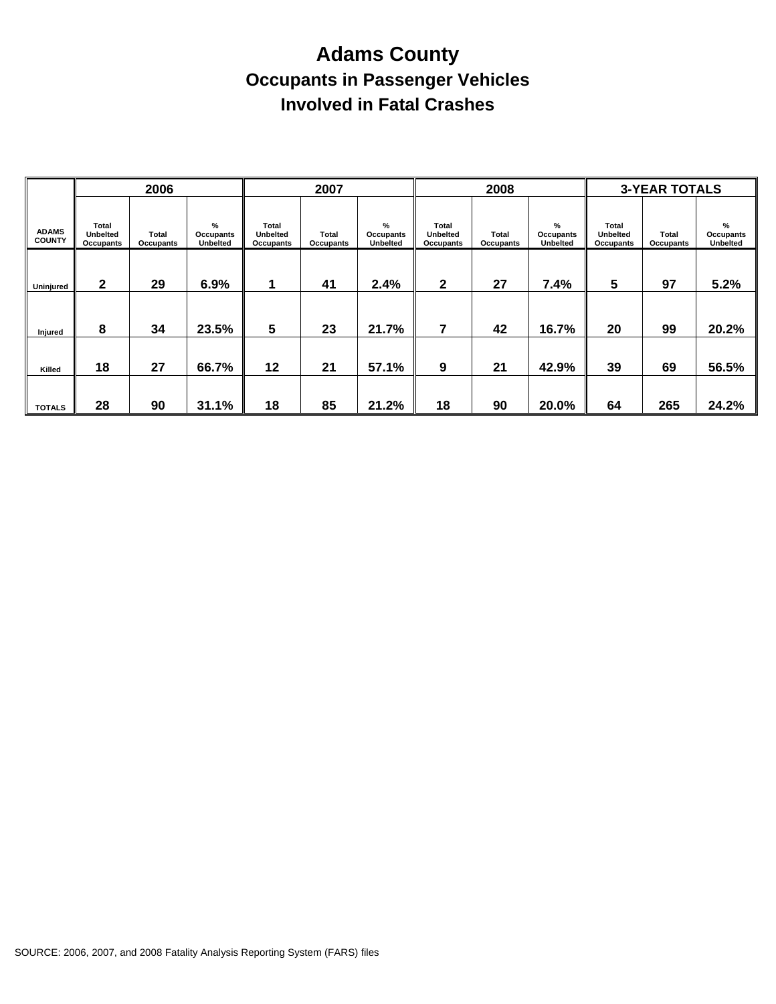# **Adams County Occupants in Passenger Vehicles Involved in Fatal Crashes**

|                               |                                              | 2006               |                                   |                                       | 2007               |                                   |                                       | 2008               |                                   |                                       | <b>3-YEAR TOTALS</b>      |                                             |
|-------------------------------|----------------------------------------------|--------------------|-----------------------------------|---------------------------------------|--------------------|-----------------------------------|---------------------------------------|--------------------|-----------------------------------|---------------------------------------|---------------------------|---------------------------------------------|
| <b>ADAMS</b><br><b>COUNTY</b> | <b>Total</b><br><b>Unbelted</b><br>Occupants | Total<br>Occupants | %<br>Occupants<br><b>Unbelted</b> | Total<br><b>Unbelted</b><br>Occupants | Total<br>Occupants | %<br>Occupants<br><b>Unbelted</b> | Total<br><b>Unbelted</b><br>Occupants | Total<br>Occupants | %<br>Occupants<br><b>Unbelted</b> | Total<br><b>Unbelted</b><br>Occupants | <b>Total</b><br>Occupants | $\%$<br><b>Occupants</b><br><b>Unbelted</b> |
| Uninjured                     | $\mathbf{2}$                                 | 29                 | 6.9%                              | 1                                     | 41                 | 2.4%                              | $\mathbf{2}$                          | 27                 | 7.4%                              | 5                                     | 97                        | 5.2%                                        |
| Injured                       | 8                                            | 34                 | 23.5%                             | 5                                     | 23                 | 21.7%                             | 7                                     | 42                 | 16.7%                             | 20                                    | 99                        | 20.2%                                       |
| Killed                        | 18                                           | 27                 | 66.7%                             | 12                                    | 21                 | 57.1%                             | 9                                     | 21                 | 42.9%                             | 39                                    | 69                        | 56.5%                                       |
| <b>TOTALS</b>                 | 28                                           | 90                 | 31.1%                             | 18                                    | 85                 | 21.2%                             | 18                                    | 90                 | 20.0%                             | 64                                    | 265                       | 24.2%                                       |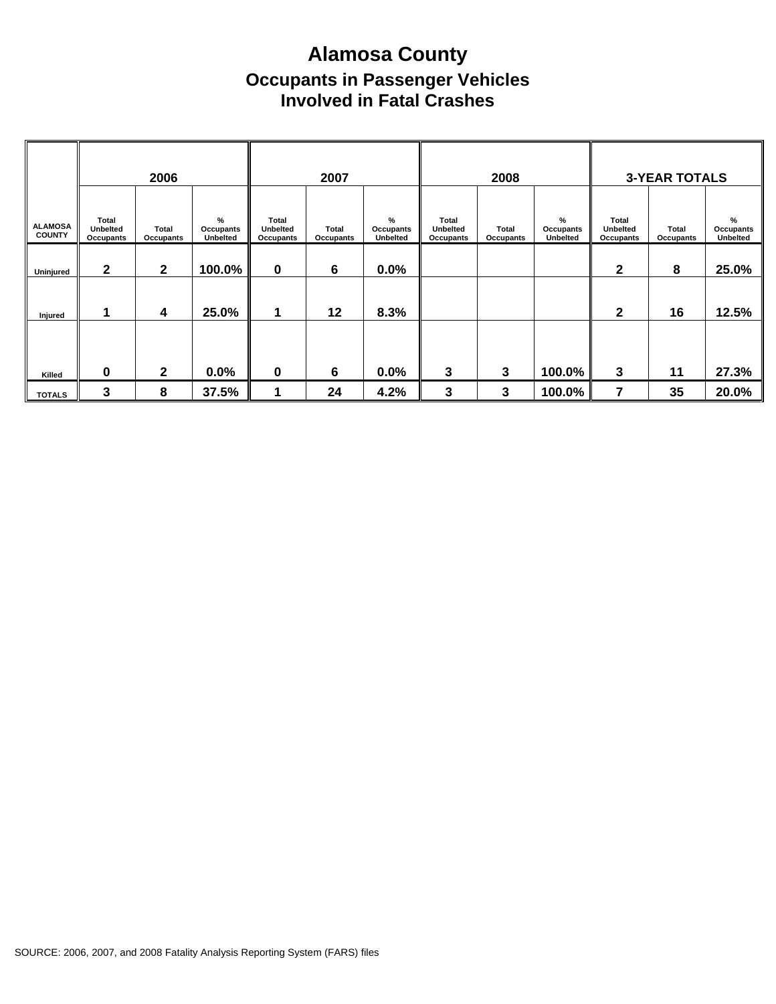## **Alamosa County Occupants in Passenger Vehicles Involved in Fatal Crashes**

|                                 |                                       | 2006               |                                      |                                       | 2007               |                            |                                       | 2008               |                                      |                                | <b>3-YEAR TOTALS</b> |                            |
|---------------------------------|---------------------------------------|--------------------|--------------------------------------|---------------------------------------|--------------------|----------------------------|---------------------------------------|--------------------|--------------------------------------|--------------------------------|----------------------|----------------------------|
| <b>ALAMOSA</b><br><b>COUNTY</b> | Total<br><b>Unbelted</b><br>Occupants | Total<br>Occupants | $\%$<br>Occupants<br><b>Unbelted</b> | Total<br><b>Unbelted</b><br>Occupants | Total<br>Occupants | %<br>Occupants<br>Unbelted | Total<br><b>Unbelted</b><br>Occupants | Total<br>Occupants | $\%$<br>Occupants<br><b>Unbelted</b> | Total<br>Unbelted<br>Occupants | Total<br>Occupants   | %<br>Occupants<br>Unbelted |
| Uninjured                       | $\mathbf{2}$                          | $\mathbf{2}$       | 100.0%                               | $\mathbf 0$                           | 6                  | 0.0%                       |                                       |                    |                                      | 2                              | 8                    | 25.0%                      |
| Injured                         |                                       | 4                  | 25.0%                                | 1                                     | 12                 | 8.3%                       |                                       |                    |                                      | $\mathbf{2}$                   | 16                   | 12.5%                      |
|                                 |                                       |                    |                                      |                                       |                    |                            |                                       |                    |                                      |                                |                      |                            |
| Killed                          | 0                                     | $\mathbf{2}$       | $0.0\%$                              | $\mathbf 0$                           | $6\phantom{1}6$    | 0.0%                       | 3                                     | 3                  | 100.0%                               | 3                              | 11                   | 27.3%                      |
| <b>TOTALS</b>                   | 3                                     | 8                  | 37.5%                                | 1                                     | 24                 | 4.2%                       | 3                                     | 3                  | 100.0%                               | 7                              | 35                   | 20.0%                      |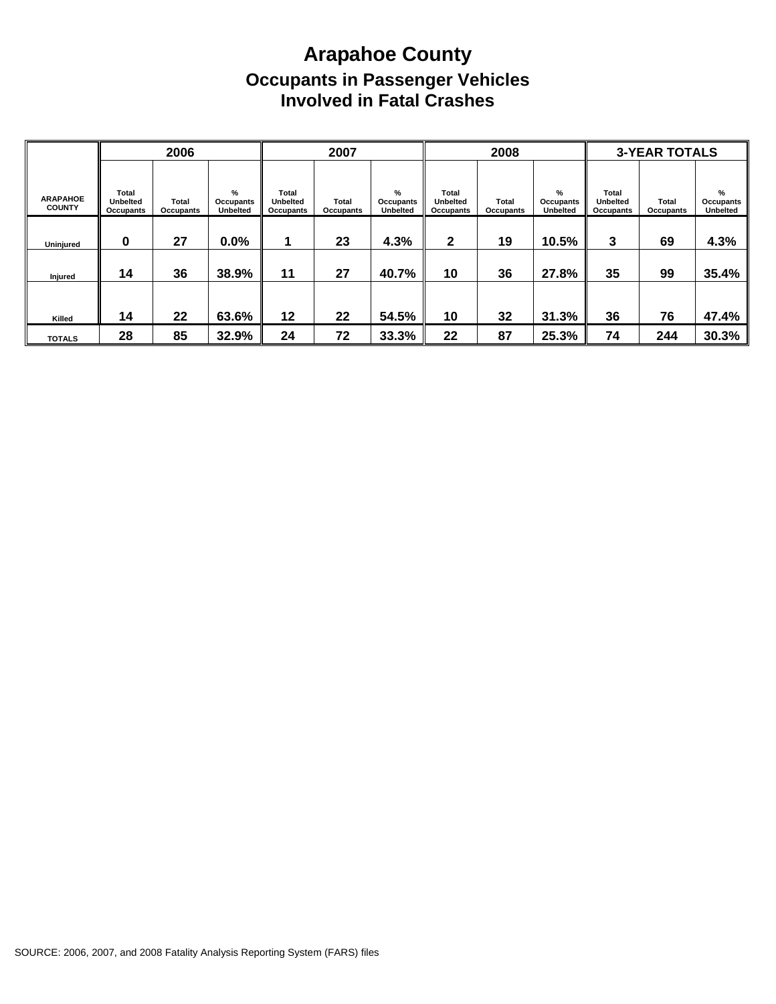## **Arapahoe County Occupants in Passenger Vehicles Involved in Fatal Crashes**

|                                  |                                       | 2006               |                                   |                                       | 2007               |                                   |                                              | 2008                      |                                   |                                              | <b>3-YEAR TOTALS</b> |                                   |
|----------------------------------|---------------------------------------|--------------------|-----------------------------------|---------------------------------------|--------------------|-----------------------------------|----------------------------------------------|---------------------------|-----------------------------------|----------------------------------------------|----------------------|-----------------------------------|
| <b>ARAPAHOE</b><br><b>COUNTY</b> | Total<br><b>Unbelted</b><br>Occupants | Total<br>Occupants | %<br>Occupants<br><b>Unbelted</b> | Total<br><b>Unbelted</b><br>Occupants | Total<br>Occupants | %<br>Occupants<br><b>Unbelted</b> | <b>Total</b><br><b>Unbelted</b><br>Occupants | <b>Total</b><br>Occupants | %<br>Occupants<br><b>Unbelted</b> | <b>Total</b><br><b>Unbelted</b><br>Occupants | Total<br>Occupants   | %<br>Occupants<br><b>Unbelted</b> |
| Uninjured                        | 0                                     | 27                 | $0.0\%$                           |                                       | 23                 | 4.3%                              | 2                                            | 19                        | 10.5%                             | 3                                            | 69                   | 4.3%                              |
| Injured                          | 14                                    | 36                 | 38.9%                             | 11                                    | 27                 | 40.7%                             | 10                                           | 36                        | 27.8%                             | 35                                           | 99                   | 35.4%                             |
|                                  | 14                                    | 22                 | 63.6%                             | 12                                    | 22                 | 54.5%                             | 10                                           | 32                        | 31.3%                             | 36                                           | 76                   | 47.4%                             |
| Killed<br><b>TOTALS</b>          | 28                                    | 85                 | 32.9%                             | 24                                    | 72                 | 33.3%                             | 22                                           | 87                        | 25.3%                             | 74                                           | 244                  | 30.3%                             |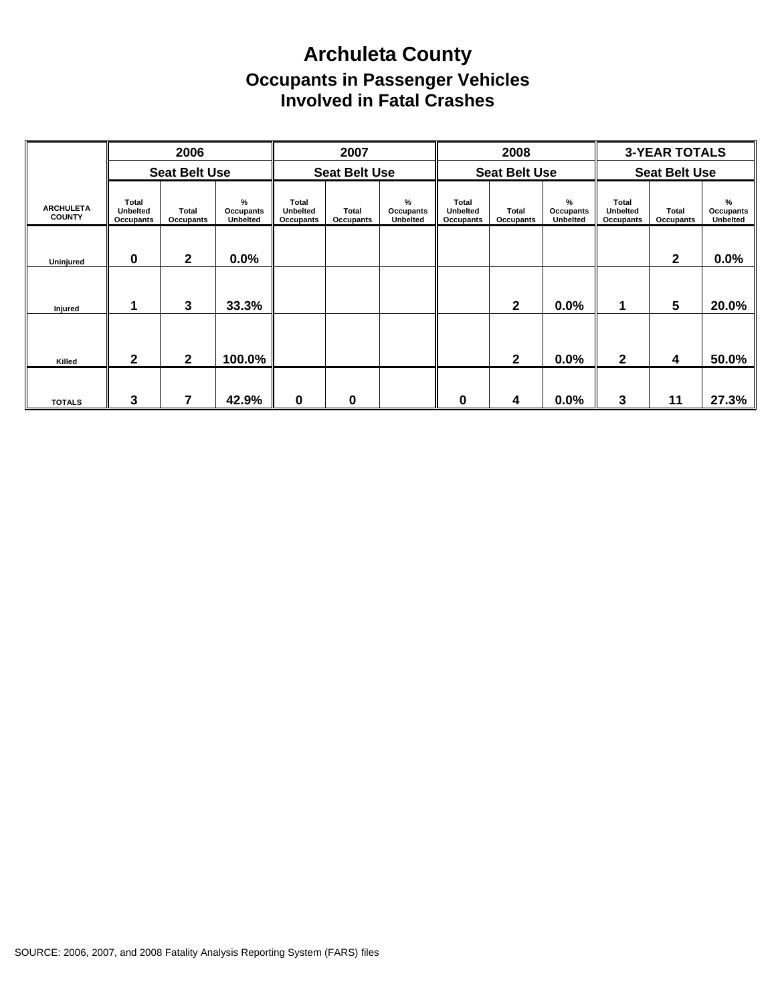## **Archuleta County Occupants in Passenger Vehicles Involved in Fatal Crashes**

|                                   |                                | 2006                 |                                      |                                              | 2007                      |                                   |                                              | 2008                      |                                   |                                | <b>3-YEAR TOTALS</b>      |                                   |
|-----------------------------------|--------------------------------|----------------------|--------------------------------------|----------------------------------------------|---------------------------|-----------------------------------|----------------------------------------------|---------------------------|-----------------------------------|--------------------------------|---------------------------|-----------------------------------|
|                                   |                                | <b>Seat Belt Use</b> |                                      |                                              | <b>Seat Belt Use</b>      |                                   |                                              | <b>Seat Belt Use</b>      |                                   |                                | <b>Seat Belt Use</b>      |                                   |
| <b>ARCHULETA</b><br><b>COUNTY</b> | Total<br>Unbelted<br>Occupants | Total<br>Occupants   | $\%$<br>Occupants<br><b>Unbelted</b> | Total<br><b>Unbelted</b><br><b>Occupants</b> | <b>Total</b><br>Occupants | %<br>Occupants<br><b>Unbelted</b> | <b>Total</b><br>Unbelted<br><b>Occupants</b> | Total<br><b>Occupants</b> | %<br>Occupants<br><b>Unbelted</b> | Total<br>Unbelted<br>Occupants | <b>Total</b><br>Occupants | %<br>Occupants<br><b>Unbelted</b> |
| Uninjured                         | 0                              | $\mathbf{2}$         | $0.0\%$                              |                                              |                           |                                   |                                              |                           |                                   |                                | 2                         | 0.0%                              |
| Injured                           |                                | 3                    | 33.3%                                |                                              |                           |                                   |                                              | $\mathbf{2}$              | $0.0\%$                           | 1                              | 5                         | 20.0%                             |
| Killed                            | 2                              | $\mathbf{2}$         | 100.0%                               |                                              |                           |                                   |                                              | $\overline{2}$            | 0.0%                              | $\mathbf{2}$                   | 4                         | 50.0%                             |
| <b>TOTALS</b>                     | 3                              | 7                    | 42.9%                                | 0                                            | 0                         |                                   | 0                                            | 4                         | 0.0%                              | 3                              | 11                        | 27.3%                             |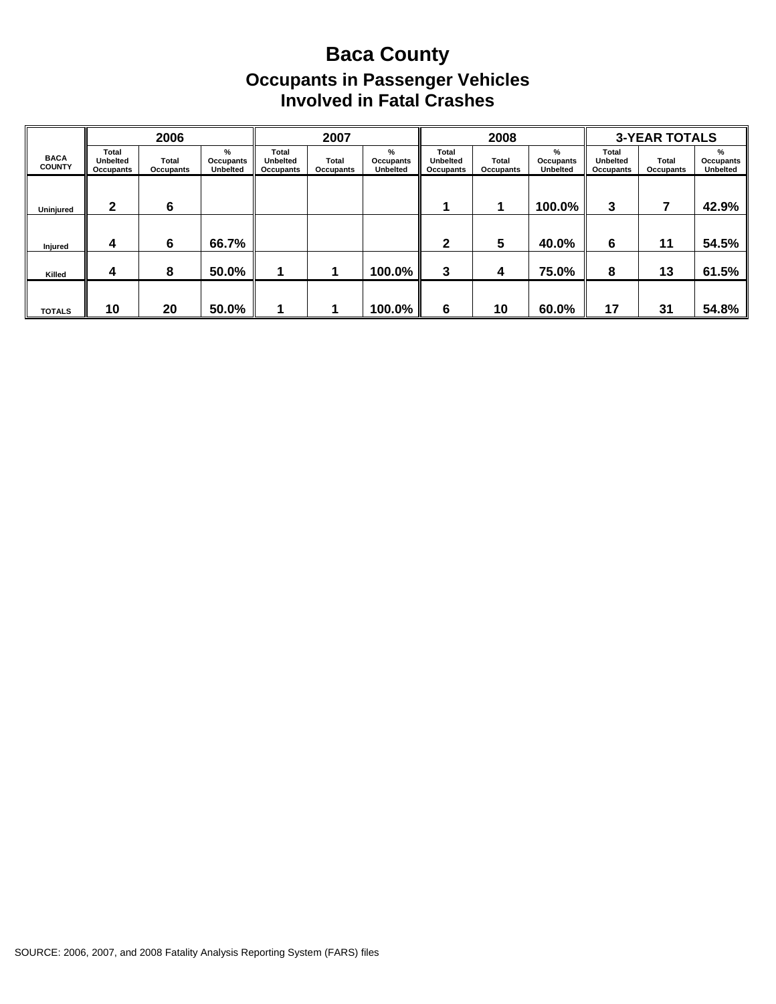## **Baca County Occupants in Passenger Vehicles Involved in Fatal Crashes**

|                              |                                       | 2006               |                                   |                                       | 2007               |                                   |                                       | 2008                      |                                   |                                       | <b>3-YEAR TOTALS</b> |                                   |
|------------------------------|---------------------------------------|--------------------|-----------------------------------|---------------------------------------|--------------------|-----------------------------------|---------------------------------------|---------------------------|-----------------------------------|---------------------------------------|----------------------|-----------------------------------|
| <b>BACA</b><br><b>COUNTY</b> | Total<br><b>Unbelted</b><br>Occupants | Total<br>Occupants | %<br>Occupants<br><b>Unbelted</b> | Total<br><b>Unbelted</b><br>Occupants | Total<br>Occupants | %<br>Occupants<br><b>Unbelted</b> | Total<br><b>Unbelted</b><br>Occupants | <b>Total</b><br>Occupants | %<br>Occupants<br><b>Unbelted</b> | Total<br><b>Unbelted</b><br>Occupants | Total<br>Occupants   | %<br>Occupants<br><b>Unbelted</b> |
| Uninjured                    | 2                                     | 6                  |                                   |                                       |                    |                                   |                                       |                           | $100.0\%$                         | 3                                     |                      | 42.9%                             |
| Injured                      | 4                                     | 6                  | 66.7%                             |                                       |                    |                                   | $\mathbf{2}$                          | 5                         | 40.0%                             | 6                                     | 11                   | 54.5%                             |
| Killed                       | 4                                     | 8                  | 50.0%                             |                                       |                    | 100.0%                            | 3                                     | 4                         | 75.0%                             | 8                                     | 13                   | 61.5%                             |
| <b>TOTALS</b>                | 10                                    | 20                 | 50.0%                             |                                       |                    | 100.0%                            | 6                                     | 10                        | 60.0%                             | 17                                    | 31                   | 54.8%                             |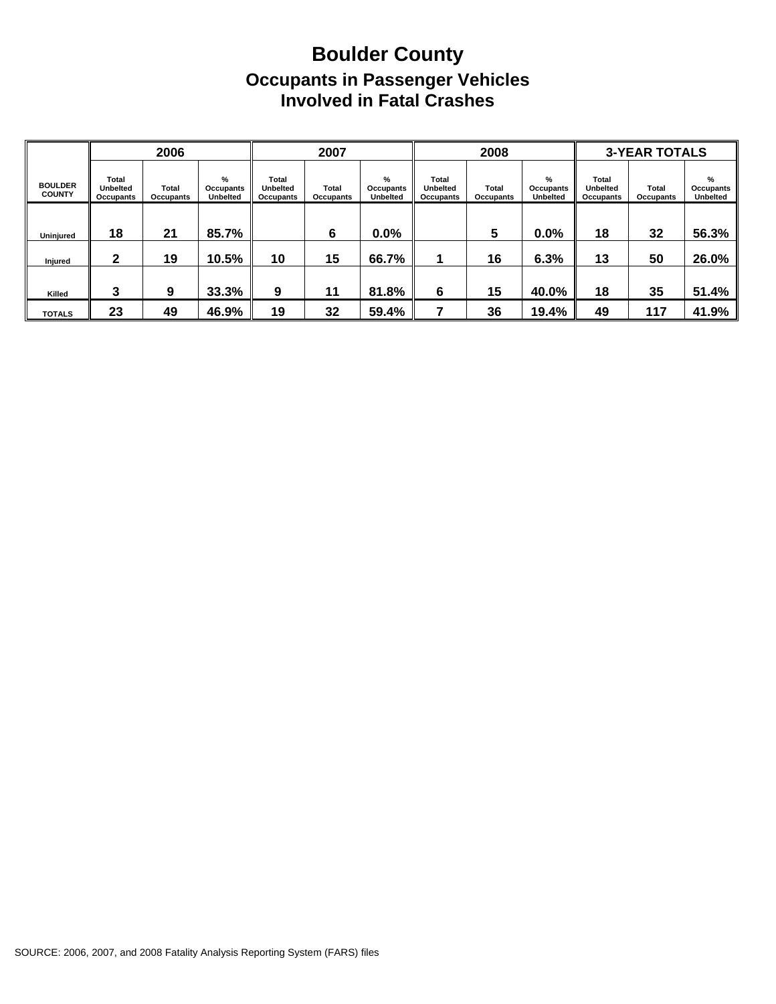## **Boulder County Occupants in Passenger Vehicles Involved in Fatal Crashes**

|                                 |                                       | 2006                      |                                          |                                       | 2007               |                            |                                              | 2008               |                                   |                                                     | <b>3-YEAR TOTALS</b> |                                   |
|---------------------------------|---------------------------------------|---------------------------|------------------------------------------|---------------------------------------|--------------------|----------------------------|----------------------------------------------|--------------------|-----------------------------------|-----------------------------------------------------|----------------------|-----------------------------------|
| <b>BOULDER</b><br><b>COUNTY</b> | Total<br><b>Unbelted</b><br>Occupants | Total<br><b>Occupants</b> | %<br><b>Occupants</b><br><b>Unbelted</b> | Total<br><b>Unbelted</b><br>Occupants | Total<br>Occupants | %<br>Occupants<br>Unbelted | <b>Total</b><br><b>Unbelted</b><br>Occupants | Total<br>Occupants | %<br>Occupants<br><b>Unbelted</b> | <b>Total</b><br><b>Unbelted</b><br><b>Occupants</b> | Total<br>Occupants   | %<br>Occupants<br><b>Unbelted</b> |
| Uninjured                       | 18                                    | 21                        | 85.7%                                    |                                       | 6                  | $0.0\%$                    |                                              | 5                  | 0.0%                              | 18                                                  | 32                   | 56.3%                             |
| Injured                         | 2                                     | 19                        | 10.5%                                    | 10                                    | 15                 | 66.7%                      |                                              | 16                 | 6.3%                              | 13                                                  | 50                   | 26.0%                             |
| Killed                          | 3                                     | 9                         | 33.3%                                    | 9                                     | 11                 | 81.8%                      | 6                                            | 15                 | 40.0%                             | 18                                                  | 35                   | 51.4%                             |
| <b>TOTALS</b>                   | 23                                    | 49                        | 46.9%                                    | 19                                    | 32                 | 59.4%                      |                                              | 36                 | 19.4%                             | 49                                                  | 117                  | 41.9%                             |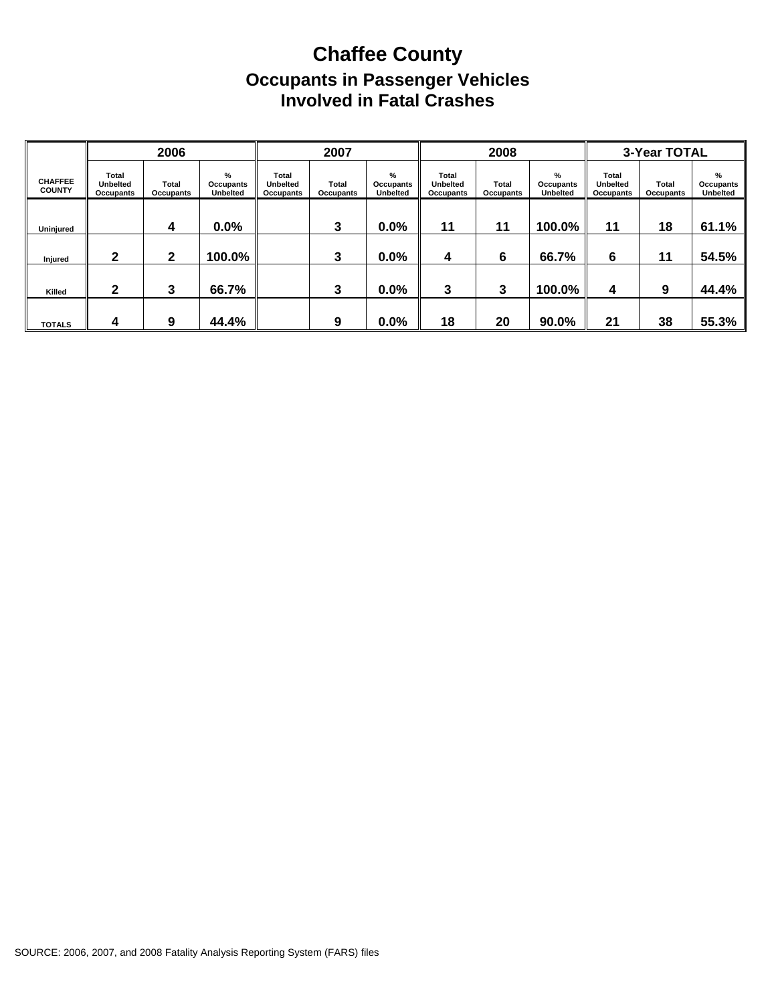## **Chaffee County Occupants in Passenger Vehicles Involved in Fatal Crashes**

|                                 |                                       | 2006               |                                   |                                              | 2007               |                                   |                                              | 2008               |                                   |                                              | 3-Year TOTAL       |                                   |
|---------------------------------|---------------------------------------|--------------------|-----------------------------------|----------------------------------------------|--------------------|-----------------------------------|----------------------------------------------|--------------------|-----------------------------------|----------------------------------------------|--------------------|-----------------------------------|
| <b>CHAFFEE</b><br><b>COUNTY</b> | Total<br><b>Unbelted</b><br>Occupants | Total<br>Occupants | %<br>Occupants<br><b>Unbelted</b> | <b>Total</b><br><b>Unbelted</b><br>Occupants | Total<br>Occupants | %<br>Occupants<br><b>Unbelted</b> | Total<br><b>Unbelted</b><br><b>Occupants</b> | Total<br>Occupants | %<br>Occupants<br><b>Unbelted</b> | <b>Total</b><br><b>Unbelted</b><br>Occupants | Total<br>Occupants | %<br>Occupants<br><b>Unbelted</b> |
| Uninjured                       |                                       | 4                  | 0.0%                              |                                              | 3                  | 0.0%                              | 11                                           | 11                 | 100.0%                            | 11                                           | 18                 | 61.1%                             |
| <b>Injured</b>                  | 2                                     | 2                  | 100.0%                            |                                              | 3                  | 0.0%                              | 4                                            | 6                  | 66.7%                             | 6                                            | 11                 | 54.5%                             |
| Killed                          | າ                                     | 3                  | 66.7%                             |                                              | 3                  | 0.0%                              | 3                                            | 3                  | 100.0%                            | 4                                            | 9                  | 44.4%                             |
| <b>TOTALS</b>                   | 4                                     | 9                  | 44.4%                             |                                              | 9                  | 0.0%                              | 18                                           | 20                 | 90.0%                             | 21                                           | 38                 | 55.3%                             |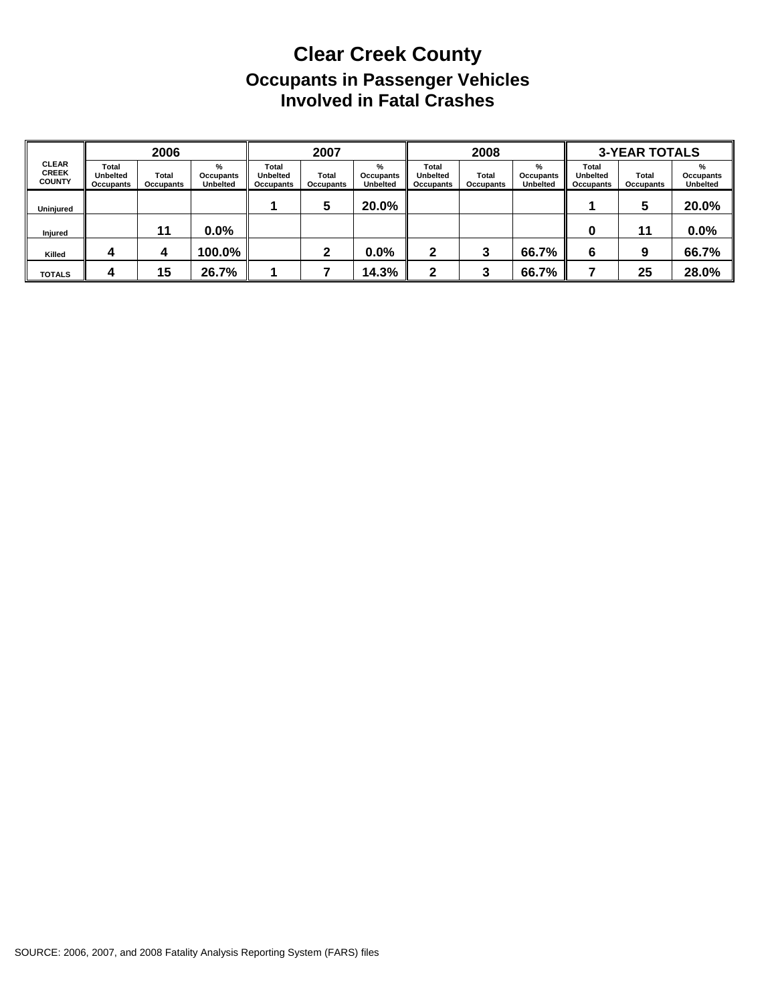## **Clear Creek County Occupants in Passenger Vehicles Involved in Fatal Crashes**

|                                               |                                       | 2006                      |                                   |                                       | 2007               |                                   |                                              | 2008                      |                                   |                                       | <b>3-YEAR TOTALS</b> |                                   |
|-----------------------------------------------|---------------------------------------|---------------------------|-----------------------------------|---------------------------------------|--------------------|-----------------------------------|----------------------------------------------|---------------------------|-----------------------------------|---------------------------------------|----------------------|-----------------------------------|
| <b>CLEAR</b><br><b>CREEK</b><br><b>COUNTY</b> | Total<br><b>Unbelted</b><br>Occupants | <b>Total</b><br>Occupants | %<br>Occupants<br><b>Unbelted</b> | Total<br><b>Unbelted</b><br>Occupants | Total<br>Occupants | %<br>Occupants<br><b>Unbelted</b> | <b>Total</b><br><b>Unbelted</b><br>Occupants | <b>Total</b><br>Occupants | %<br>Occupants<br><b>Unbelted</b> | Total<br><b>Unbelted</b><br>Occupants | Total<br>Occupants   | %<br>Occupants<br><b>Unbelted</b> |
| Uninjured                                     |                                       |                           |                                   |                                       | 5                  | 20.0%                             |                                              |                           |                                   |                                       | 5                    | 20.0%                             |
| Injured                                       |                                       | 11                        | $0.0\%$                           |                                       |                    |                                   |                                              |                           |                                   | 0                                     | 11                   | 0.0%                              |
| Killed                                        |                                       | 4                         | 100.0%                            |                                       | ≏                  | 0.0%                              | 2                                            | 3                         | 66.7%                             | 6                                     | 9                    | 66.7%                             |
| <b>TOTALS</b>                                 | л                                     | 15                        | 26.7%                             |                                       |                    | 14.3%                             | ◠                                            | 2                         | 66.7%                             |                                       | 25                   | 28.0%                             |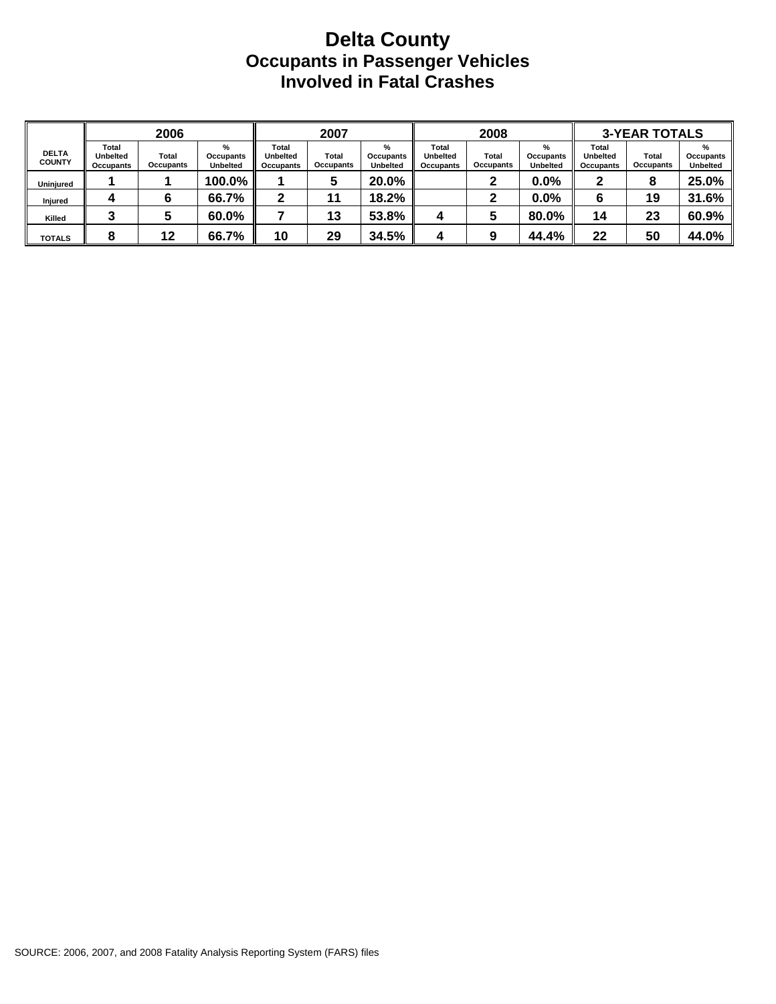#### **Delta County Occupants in Passenger Vehicles Involved in Fatal Crashes**

|                               |                                       | 2006               |                                   |                                       | 2007                             |                                   |                                              | 2008                      |                                   |                                              | <b>3-YEAR TOTALS</b> |                                   |
|-------------------------------|---------------------------------------|--------------------|-----------------------------------|---------------------------------------|----------------------------------|-----------------------------------|----------------------------------------------|---------------------------|-----------------------------------|----------------------------------------------|----------------------|-----------------------------------|
| <b>DELTA</b><br><b>COUNTY</b> | Total<br><b>Unbelted</b><br>Occupants | Total<br>Occupants | %<br>Occupants<br><b>Unbelted</b> | Total<br><b>Unbelted</b><br>Occupants | <b>Total</b><br><b>Occupants</b> | %<br>Occupants<br><b>Unbelted</b> | Total<br><b>Unbelted</b><br><b>Occupants</b> | Total<br><b>Occupants</b> | %<br>Occupants<br><b>Unbelted</b> | <b>Total</b><br><b>Unbelted</b><br>Occupants | Total<br>Occupants   | %<br>Occupants<br><b>Unbelted</b> |
| Uninjured                     |                                       |                    | 100.0%                            |                                       | b                                | 20.0%                             |                                              |                           | $0.0\%$                           |                                              | 8                    | 25.0%                             |
| Injured                       |                                       |                    | 66.7%                             |                                       | 11                               | 18.2%                             |                                              |                           | 0.0%                              | 6                                            | 19                   | 31.6%                             |
| Killed                        |                                       |                    | 60.0%                             |                                       | 13                               | 53.8%                             |                                              |                           | 80.0%                             | 14                                           | 23                   | 60.9%                             |
| <b>TOTALS</b>                 |                                       | 12                 | 66.7%                             | 10                                    | 29                               | 34.5%                             |                                              |                           | 44.4%                             | 22                                           | 50                   | 44.0%                             |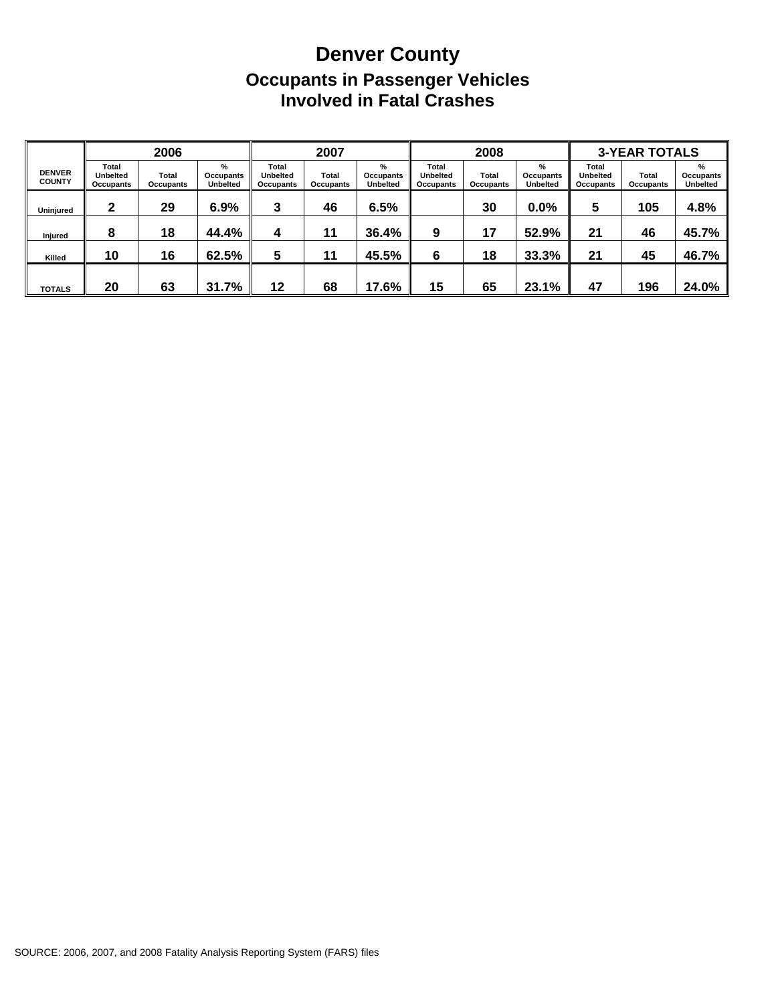## **Denver County Occupants in Passenger Vehicles Involved in Fatal Crashes**

|                                |                                       | 2006               |                                   |                                              | 2007               |                                   |                                              | 2008               |                                   |                                       | <b>3-YEAR TOTALS</b> |                                      |
|--------------------------------|---------------------------------------|--------------------|-----------------------------------|----------------------------------------------|--------------------|-----------------------------------|----------------------------------------------|--------------------|-----------------------------------|---------------------------------------|----------------------|--------------------------------------|
| <b>DENVER</b><br><b>COUNTY</b> | Total<br><b>Unbelted</b><br>Occupants | Total<br>Occupants | %<br>Occupants<br><b>Unbelted</b> | <b>Total</b><br><b>Unbelted</b><br>Occupants | Total<br>Occupants | %<br>Occupants<br><b>Unbelted</b> | <b>Total</b><br><b>Unbelted</b><br>Occupants | Total<br>Occupants | %<br>Occupants<br><b>Unbelted</b> | Total<br><b>Unbelted</b><br>Occupants | Total<br>Occupants   | $\%$<br>Occupants<br><b>Unbelted</b> |
| Uninjured                      | 2                                     | 29                 | 6.9%                              | 3                                            | 46                 | 6.5%                              |                                              | 30                 | $0.0\%$                           | 5                                     | 105                  | 4.8%                                 |
| Injured                        | 8                                     | 18                 | 44.4%                             | 4                                            | 11                 | 36.4%                             | 9                                            | 17                 | 52.9%                             | 21                                    | 46                   | 45.7%                                |
| Killed                         | 10                                    | 16                 | 62.5%                             | 5                                            | 11                 | 45.5%                             | 6                                            | 18                 | 33.3%                             | 21                                    | 45                   | 46.7%                                |
| <b>TOTALS</b>                  | 20                                    | 63                 | 31.7%                             | 12                                           | 68                 | 17.6%                             | 15                                           | 65                 | 23.1%                             | 47                                    | 196                  | 24.0%                                |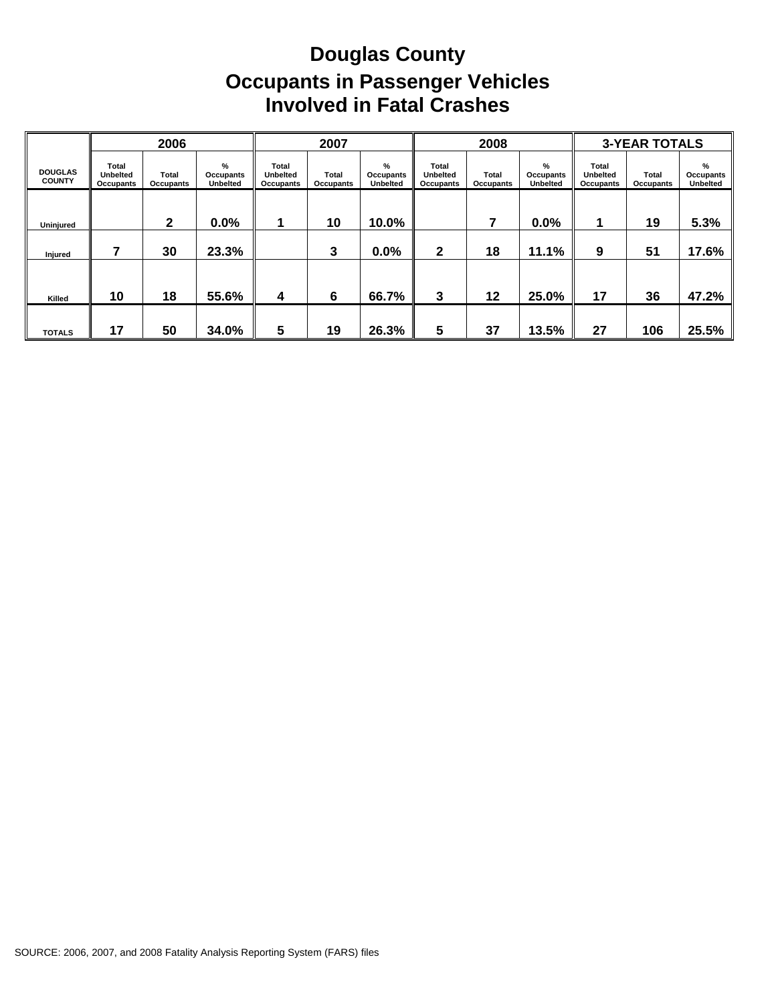# **Douglas County Occupants in Passenger Vehicles Involved in Fatal Crashes**

|                                 |                                       | 2006               |                                      |                                              | 2007                      |                                   |                                              | 2008               |                                   |                                              | <b>3-YEAR TOTALS</b> |                                   |
|---------------------------------|---------------------------------------|--------------------|--------------------------------------|----------------------------------------------|---------------------------|-----------------------------------|----------------------------------------------|--------------------|-----------------------------------|----------------------------------------------|----------------------|-----------------------------------|
| <b>DOUGLAS</b><br><b>COUNTY</b> | Total<br>Unbelted<br><b>Occupants</b> | Total<br>Occupants | $\%$<br>Occupants<br><b>Unbelted</b> | Total<br><b>Unbelted</b><br><b>Occupants</b> | <b>Total</b><br>Occupants | %<br>Occupants<br><b>Unbelted</b> | Total<br><b>Unbelted</b><br><b>Occupants</b> | Total<br>Occupants | %<br>Occupants<br><b>Unbelted</b> | <b>Total</b><br><b>Unbelted</b><br>Occupants | Total<br>Occupants   | %<br>Occupants<br><b>Unbelted</b> |
| Uninjured                       |                                       | 2                  | 0.0%                                 |                                              | 10                        | 10.0%                             |                                              |                    | 0.0%                              |                                              | 19                   | 5.3%                              |
| Injured                         |                                       | 30                 | 23.3%                                |                                              | 3                         | 0.0%                              | $\mathbf{2}$                                 | 18                 | 11.1%                             | 9                                            | 51                   | 17.6%                             |
| Killed                          | 10                                    | 18                 | 55.6%                                | 4                                            | 6                         | 66.7%                             | 3                                            | 12                 | 25.0%                             | 17                                           | 36                   | 47.2%                             |
| <b>TOTALS</b>                   | 17                                    | 50                 | 34.0%                                | 5                                            | 19                        | 26.3%                             | 5                                            | 37                 | 13.5%                             | 27                                           | 106                  | 25.5%                             |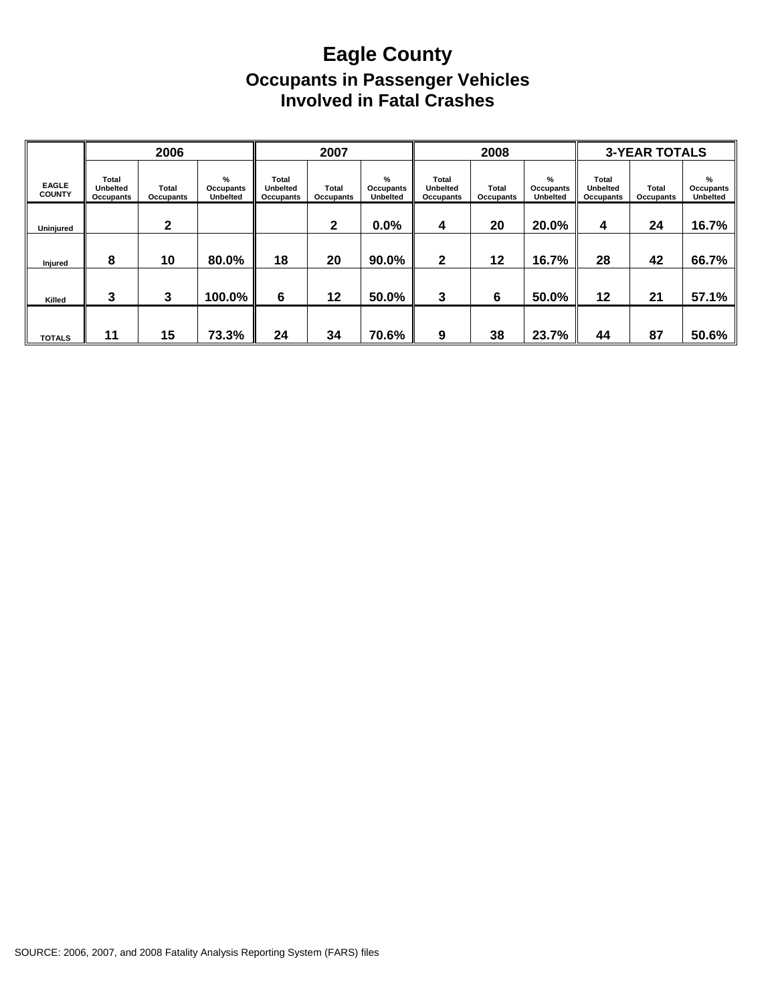## **Eagle County Occupants in Passenger Vehicles Involved in Fatal Crashes**

|                               |                                       | 2006               |                                      |                                       | 2007               |                                   |                                              | 2008               |                                   |                                       | <b>3-YEAR TOTALS</b> |                                      |
|-------------------------------|---------------------------------------|--------------------|--------------------------------------|---------------------------------------|--------------------|-----------------------------------|----------------------------------------------|--------------------|-----------------------------------|---------------------------------------|----------------------|--------------------------------------|
| <b>EAGLE</b><br><b>COUNTY</b> | Total<br><b>Unbelted</b><br>Occupants | Total<br>Occupants | $\%$<br>Occupants<br><b>Unbelted</b> | Total<br><b>Unbelted</b><br>Occupants | Total<br>Occupants | %<br>Occupants<br><b>Unbelted</b> | <b>Total</b><br><b>Unbelted</b><br>Occupants | Total<br>Occupants | %<br>Occupants<br><b>Unbelted</b> | Total<br><b>Unbelted</b><br>Occupants | Total<br>Occupants   | $\%$<br>Occupants<br><b>Unbelted</b> |
| Uninjured                     |                                       | 2                  |                                      |                                       | $\mathbf{2}$       | 0.0%                              | 4                                            | 20                 | 20.0%                             | 4                                     | 24                   | 16.7%                                |
| Injured                       | 8                                     | 10                 | 80.0%                                | 18                                    | 20                 | 90.0%                             | $\mathbf{2}$                                 | 12                 | 16.7%                             | 28                                    | 42                   | 66.7%                                |
| Killed                        | 3                                     | 3                  | 100.0%                               | 6                                     | 12                 | 50.0%                             | 3                                            | 6                  | 50.0%                             | $12 \,$                               | 21                   | 57.1%                                |
| <b>TOTALS</b>                 | 11                                    | 15                 | 73.3%                                | 24                                    | 34                 | 70.6%                             | 9                                            | 38                 | 23.7%                             | 44                                    | 87                   | 50.6%                                |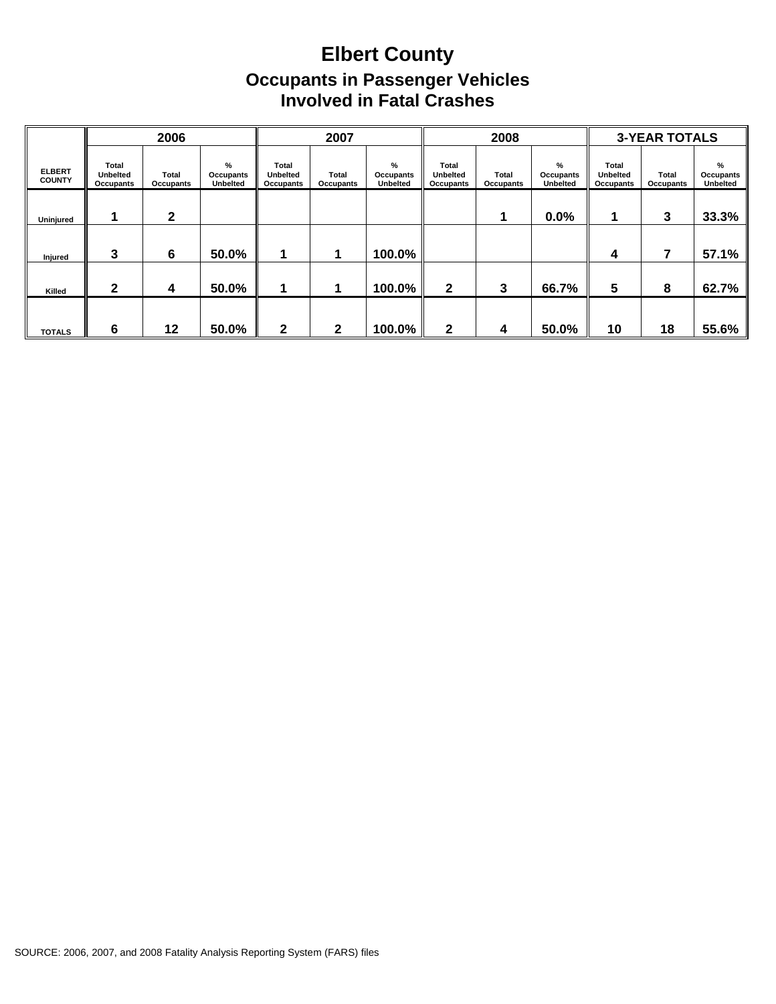## **Elbert County Occupants in Passenger Vehicles Involved in Fatal Crashes**

|                                |                                       | 2006               |                                   |                                       | 2007               |                                   |                                       | 2008               |                                   |                                       | <b>3-YEAR TOTALS</b> |                            |
|--------------------------------|---------------------------------------|--------------------|-----------------------------------|---------------------------------------|--------------------|-----------------------------------|---------------------------------------|--------------------|-----------------------------------|---------------------------------------|----------------------|----------------------------|
| <b>ELBERT</b><br><b>COUNTY</b> | Total<br><b>Unbelted</b><br>Occupants | Total<br>Occupants | %<br>Occupants<br><b>Unbelted</b> | Total<br><b>Unbelted</b><br>Occupants | Total<br>Occupants | %<br>Occupants<br><b>Unbelted</b> | Total<br><b>Unbelted</b><br>Occupants | Total<br>Occupants | %<br>Occupants<br><b>Unbelted</b> | Total<br><b>Unbelted</b><br>Occupants | Total<br>Occupants   | %<br>Occupants<br>Unbelted |
| Uninjured                      |                                       | $\mathbf{2}$       |                                   |                                       |                    |                                   |                                       |                    | 0.0%                              |                                       | 3                    | 33.3%                      |
| Injured                        | 3                                     | 6                  | 50.0%                             |                                       |                    | 100.0%                            |                                       |                    |                                   | 4                                     | 7                    | 57.1%                      |
| Killed                         | $\mathbf{2}$                          | 4                  | 50.0%                             |                                       |                    | 100.0%                            | $\mathbf{2}$                          | 3                  | 66.7%                             | 5                                     | 8                    | 62.7%                      |
| <b>TOTALS</b>                  | 6                                     | 12                 | 50.0%                             | 2                                     | 2                  | 100.0%                            | $\mathbf{2}$                          | 4                  | 50.0%                             | 10                                    | 18                   | 55.6%                      |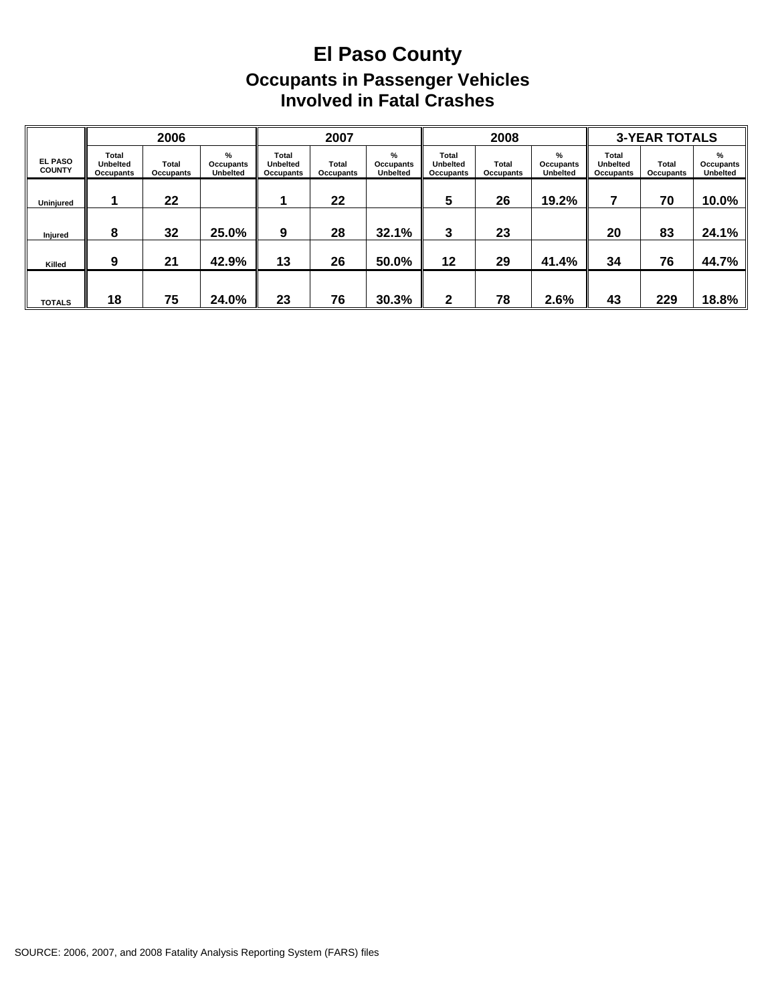## **El Paso County Occupants in Passenger Vehicles Involved in Fatal Crashes**

|                                 |                                       | 2006               |                                   |                                       | 2007               |                                      |                                       | 2008               |                                   |                                       | <b>3-YEAR TOTALS</b> |                                               |
|---------------------------------|---------------------------------------|--------------------|-----------------------------------|---------------------------------------|--------------------|--------------------------------------|---------------------------------------|--------------------|-----------------------------------|---------------------------------------|----------------------|-----------------------------------------------|
| <b>EL PASO</b><br><b>COUNTY</b> | Total<br><b>Unbelted</b><br>Occupants | Total<br>Occupants | %<br>Occupants<br><b>Unbelted</b> | Total<br><b>Unbelted</b><br>Occupants | Total<br>Occupants | $\%$<br>Occupants<br><b>Unbelted</b> | Total<br><b>Unbelted</b><br>Occupants | Total<br>Occupants | %<br>Occupants<br><b>Unbelted</b> | Total<br><b>Unbelted</b><br>Occupants | Total<br>Occupants   | $\frac{9}{6}$<br>Occupants<br><b>Unbelted</b> |
| Uninjured                       |                                       | 22                 |                                   |                                       | 22                 |                                      | 5                                     | 26                 | 19.2%                             |                                       | 70                   | 10.0%                                         |
| <b>Injured</b>                  | 8                                     | 32                 | 25.0%                             | 9                                     | 28                 | 32.1%                                | 3                                     | 23                 |                                   | 20                                    | 83                   | 24.1%                                         |
| Killed                          | 9                                     | 21                 | 42.9%                             | 13                                    | 26                 | 50.0%                                | 12                                    | 29                 | 41.4%                             | 34                                    | 76                   | 44.7%                                         |
| <b>TOTALS</b>                   | 18                                    | 75                 | 24.0%                             | 23                                    | 76                 | 30.3%                                | 2                                     | 78                 | 2.6%                              | 43                                    | 229                  | 18.8%                                         |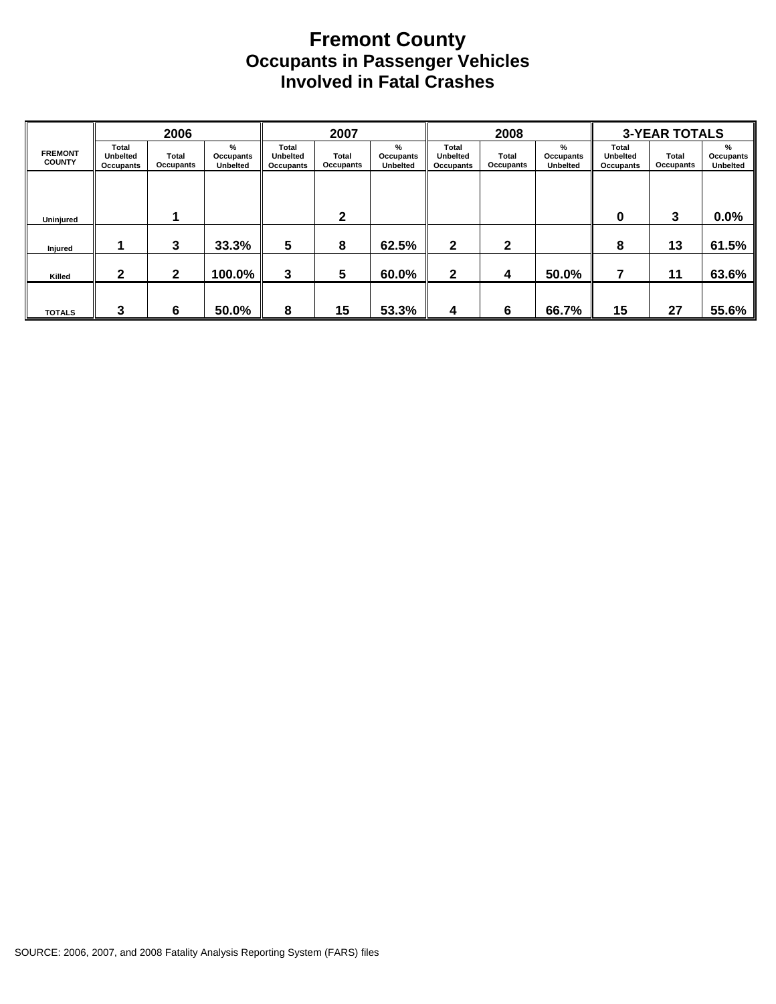#### **Fremont County Occupants in Passenger Vehicles Involved in Fatal Crashes**

|                                 |                                       | 2006               |                                               |                                              | 2007               |                                   |                                       | 2008               |                                   |                                | <b>3-YEAR TOTALS</b> |                                      |
|---------------------------------|---------------------------------------|--------------------|-----------------------------------------------|----------------------------------------------|--------------------|-----------------------------------|---------------------------------------|--------------------|-----------------------------------|--------------------------------|----------------------|--------------------------------------|
| <b>FREMONT</b><br><b>COUNTY</b> | Total<br><b>Unbelted</b><br>Occupants | Total<br>Occupants | $\frac{9}{6}$<br>Occupants<br><b>Unbelted</b> | Total<br><b>Unbelted</b><br><b>Occupants</b> | Total<br>Occupants | %<br>Occupants<br><b>Unbelted</b> | Total<br><b>Unbelted</b><br>Occupants | Total<br>Occupants | %<br>Occupants<br><b>Unbelted</b> | Total<br>Unbelted<br>Occupants | Total<br>Occupants   | $\%$<br>Occupants<br><b>Unbelted</b> |
|                                 |                                       |                    |                                               |                                              |                    |                                   |                                       |                    |                                   |                                |                      |                                      |
| Uninjured                       |                                       |                    |                                               |                                              | 2                  |                                   |                                       |                    |                                   | 0                              | 3                    | 0.0%                                 |
| Injured                         |                                       | 3                  | 33.3%                                         | 5                                            | 8                  | 62.5%                             | $\mathbf{2}$                          | $\mathbf{2}$       |                                   | 8                              | 13                   | 61.5%                                |
| Killed                          | 2                                     | $\mathbf{2}$       | 100.0%                                        | 3                                            | 5                  | 60.0%                             | 2                                     | 4                  | 50.0%                             |                                | 11                   | 63.6%                                |
| <b>TOTALS</b>                   | 3                                     | 6                  | 50.0%                                         | 8                                            | 15                 | 53.3%                             | 4                                     | 6                  | 66.7%                             | 15                             | 27                   | 55.6%                                |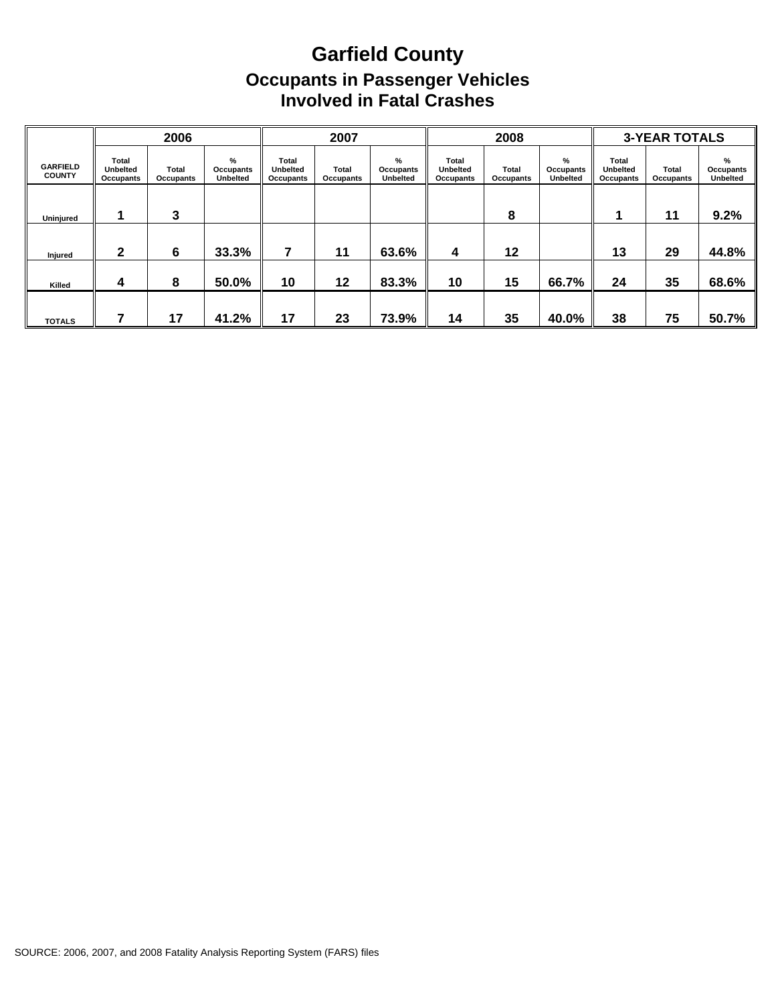## **Garfield County Occupants in Passenger Vehicles Involved in Fatal Crashes**

|                                  |                                              | 2006               |                                   |                                              | 2007               |                                   |                                              | 2008               |                                      |                                       | <b>3-YEAR TOTALS</b> |                            |
|----------------------------------|----------------------------------------------|--------------------|-----------------------------------|----------------------------------------------|--------------------|-----------------------------------|----------------------------------------------|--------------------|--------------------------------------|---------------------------------------|----------------------|----------------------------|
| <b>GARFIELD</b><br><b>COUNTY</b> | Total<br><b>Unbelted</b><br><b>Occupants</b> | Total<br>Occupants | %<br>Occupants<br><b>Unbelted</b> | Total<br><b>Unbelted</b><br><b>Occupants</b> | Total<br>Occupants | %<br>Occupants<br><b>Unbelted</b> | Total<br><b>Unbelted</b><br><b>Occupants</b> | Total<br>Occupants | $\%$<br>Occupants<br><b>Unbelted</b> | Total<br><b>Unbelted</b><br>Occupants | Total<br>Occupants   | %<br>Occupants<br>Unbelted |
| <b>Uniniured</b>                 |                                              | 3                  |                                   |                                              |                    |                                   |                                              | 8                  |                                      |                                       | 11                   | 9.2%                       |
| Injured                          | າ                                            | 6                  | 33.3%                             |                                              | 11                 | 63.6%                             | 4                                            | 12                 |                                      | 13                                    | 29                   | 44.8%                      |
| Killed                           | 4                                            | 8                  | 50.0%                             | 10                                           | 12                 | 83.3%                             | 10                                           | 15                 | 66.7%                                | 24                                    | 35                   | 68.6%                      |
| <b>TOTALS</b>                    |                                              | 17                 | 41.2%                             | 17                                           | 23                 | 73.9%                             | 14                                           | 35                 | 40.0%                                | 38                                    | 75                   | 50.7%                      |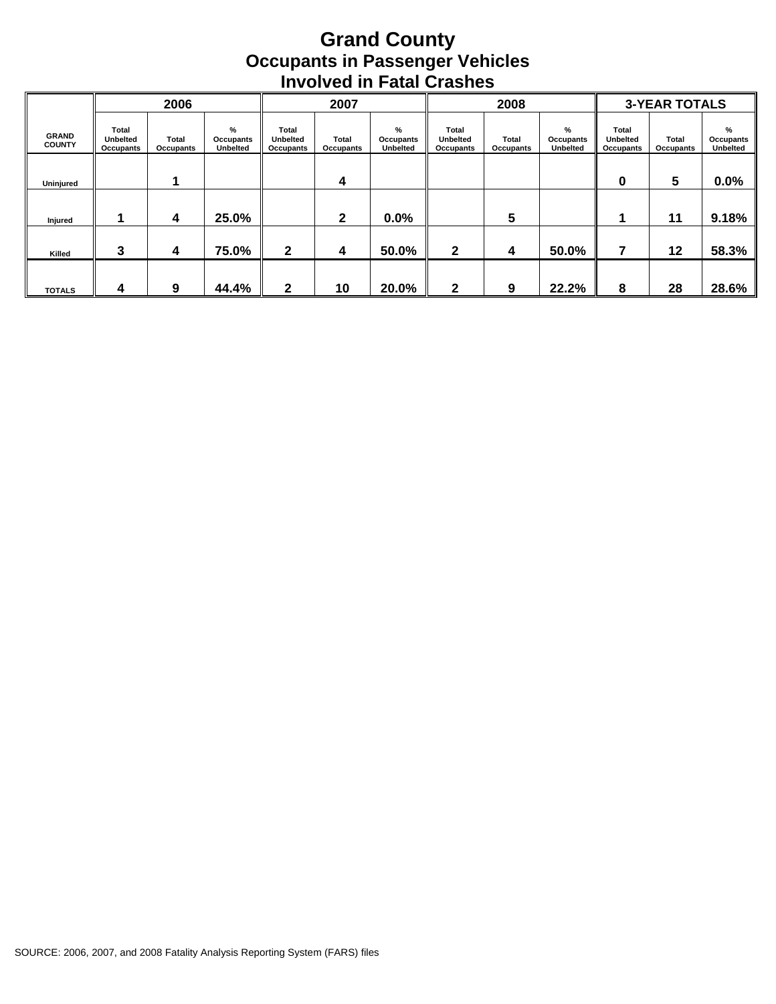#### **Grand County Occupants in Passenger Vehicles Involved in Fatal Crashes**

|                               |                                       | 2006               |                            |                                       | 2007               |                                   |                                       | 2008                      |                                   |                                       | <b>3-YEAR TOTALS</b> |                            |
|-------------------------------|---------------------------------------|--------------------|----------------------------|---------------------------------------|--------------------|-----------------------------------|---------------------------------------|---------------------------|-----------------------------------|---------------------------------------|----------------------|----------------------------|
| <b>GRAND</b><br><b>COUNTY</b> | Total<br><b>Unbelted</b><br>Occupants | Total<br>Occupants | %<br>Occupants<br>Unbelted | Total<br><b>Unbelted</b><br>Occupants | Total<br>Occupants | %<br>Occupants<br><b>Unbelted</b> | Total<br><b>Unbelted</b><br>Occupants | <b>Total</b><br>Occupants | %<br>Occupants<br><b>Unbelted</b> | Total<br><b>Unbelted</b><br>Occupants | Total<br>Occupants   | %<br>Occupants<br>Unbelted |
| Uninjured                     |                                       |                    |                            |                                       | 4                  |                                   |                                       |                           |                                   | 0                                     | 5                    | 0.0%                       |
| Injured                       |                                       | 4                  | 25.0%                      |                                       | 2                  | 0.0%                              |                                       | 5                         |                                   |                                       | 11                   | 9.18%                      |
| Killed                        | 3                                     | 4                  | 75.0%                      | $\mathbf{2}$                          | 4                  | 50.0%                             | $\mathbf{2}$                          | 4                         | 50.0%                             | 7                                     | 12                   | 58.3%                      |
| <b>TOTALS</b>                 | 4                                     | 9                  | 44.4%                      | $\mathbf{2}$                          | 10                 | 20.0%                             | 2                                     | 9                         | 22.2%                             | 8                                     | 28                   | 28.6%                      |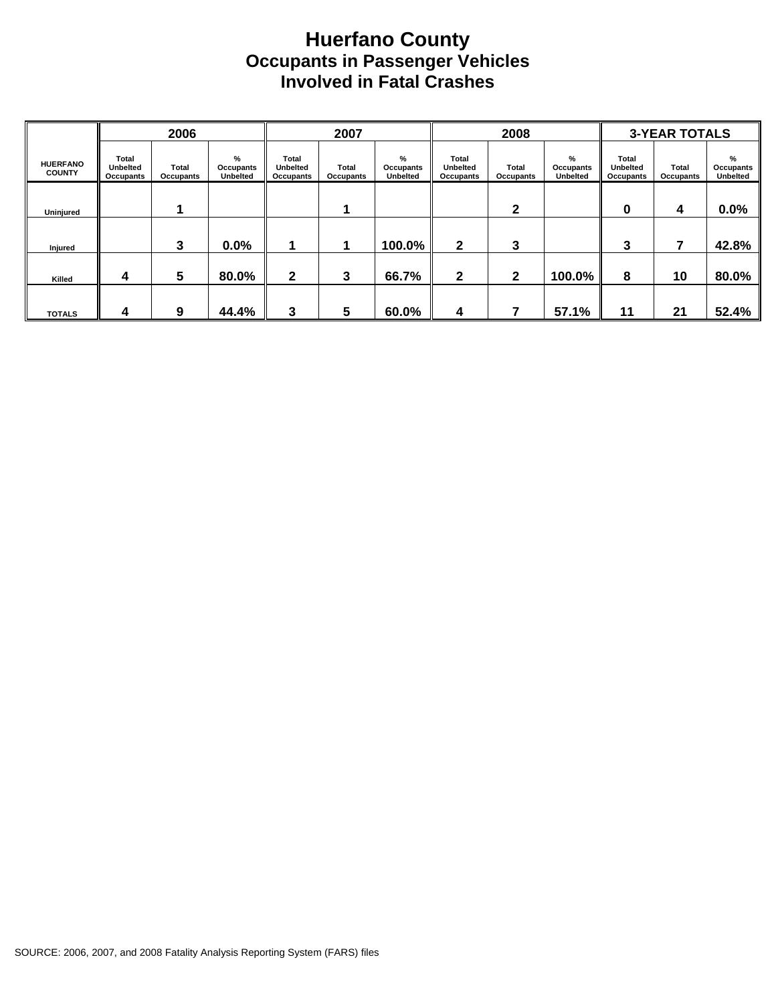#### **Huerfano County Occupants in Passenger Vehicles Involved in Fatal Crashes**

|                                  |                                       | 2006                      |                                   |                                       | 2007               |                                   |                                              | 2008               |                                   |                                       | <b>3-YEAR TOTALS</b> |                                   |
|----------------------------------|---------------------------------------|---------------------------|-----------------------------------|---------------------------------------|--------------------|-----------------------------------|----------------------------------------------|--------------------|-----------------------------------|---------------------------------------|----------------------|-----------------------------------|
| <b>HUERFANO</b><br><b>COUNTY</b> | Total<br><b>Unbelted</b><br>Occupants | <b>Total</b><br>Occupants | %<br>Occupants<br><b>Unbelted</b> | Total<br><b>Unbelted</b><br>Occupants | Total<br>Occupants | %<br>Occupants<br><b>Unbelted</b> | Total<br><b>Unbelted</b><br><b>Occupants</b> | Total<br>Occupants | %<br>Occupants<br><b>Unbelted</b> | Total<br><b>Unbelted</b><br>Occupants | Total<br>Occupants   | %<br>Occupants<br><b>Unbelted</b> |
| Uninjured                        |                                       |                           |                                   |                                       |                    |                                   |                                              | $\mathbf{2}$       |                                   | 0                                     | 4                    | 0.0%                              |
| Injured                          |                                       | 3                         | $0.0\%$                           |                                       |                    | 100.0%                            | 2                                            | 3                  |                                   | 3                                     | 7                    | 42.8%                             |
| Killed                           | 4                                     | 5                         | 80.0%                             | $\mathbf{2}$                          | 3                  | 66.7%                             | $\mathbf{2}$                                 | $\mathbf{2}$       | 100.0%                            | 8                                     | 10                   | 80.0%                             |
| <b>TOTALS</b>                    | 4                                     | 9                         | 44.4%                             | 3                                     | 5                  | 60.0%                             | 4                                            |                    | 57.1%                             | 11                                    | 21                   | 52.4%                             |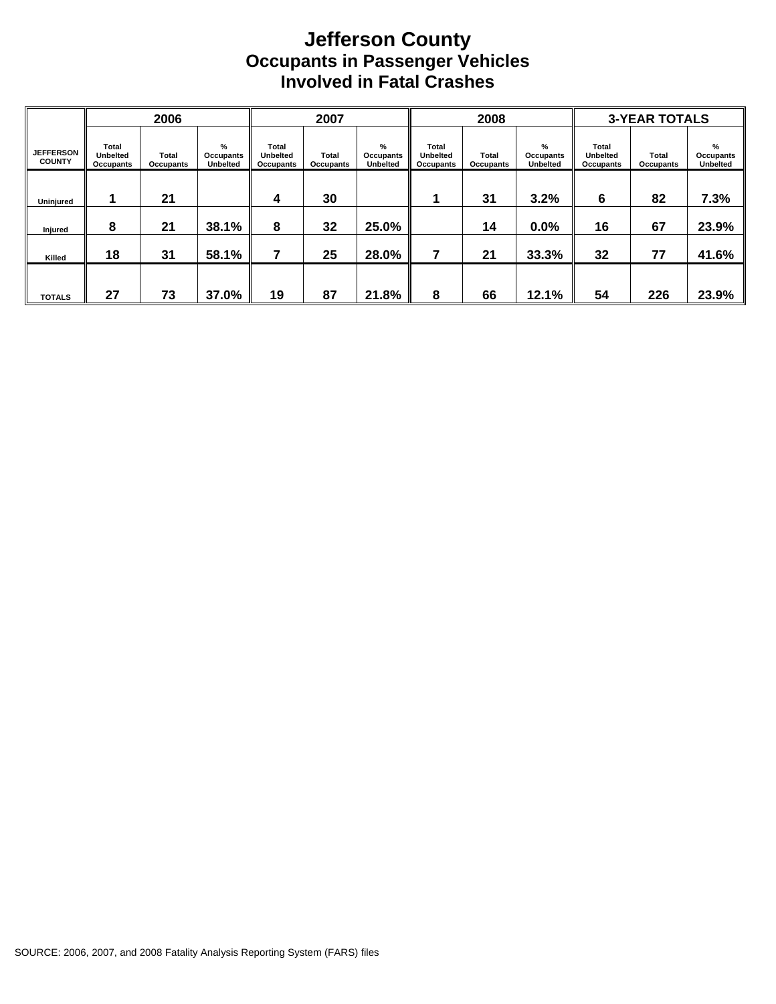#### **Jefferson County Occupants in Passenger Vehicles Involved in Fatal Crashes**

|                                   |                                       | 2006               |                                      |                                       | 2007                      |                                   |                                              | 2008               |                                   |                                              | <b>3-YEAR TOTALS</b> |                                   |
|-----------------------------------|---------------------------------------|--------------------|--------------------------------------|---------------------------------------|---------------------------|-----------------------------------|----------------------------------------------|--------------------|-----------------------------------|----------------------------------------------|----------------------|-----------------------------------|
| <b>JEFFERSON</b><br><b>COUNTY</b> | Total<br><b>Unbelted</b><br>Occupants | Total<br>Occupants | $\%$<br>Occupants<br><b>Unbelted</b> | Total<br><b>Unbelted</b><br>Occupants | <b>Total</b><br>Occupants | %<br>Occupants<br><b>Unbelted</b> | <b>Total</b><br><b>Unbelted</b><br>Occupants | Total<br>Occupants | %<br>Occupants<br><b>Unbelted</b> | <b>Total</b><br><b>Unbelted</b><br>Occupants | Total<br>Occupants   | %<br>Occupants<br><b>Unbelted</b> |
| Uninjured                         |                                       | 21                 |                                      | 4                                     | 30                        |                                   |                                              | 31                 | 3.2%                              | 6                                            | 82                   | 7.3%                              |
| Injured                           | 8                                     | 21                 | 38.1%                                | 8                                     | 32                        | 25.0%                             |                                              | 14                 | 0.0%                              | 16                                           | 67                   | 23.9%                             |
| Killed                            | 18                                    | 31                 | 58.1%                                | 7                                     | 25                        | 28.0%                             | 7                                            | 21                 | 33.3%                             | 32                                           | 77                   | 41.6%                             |
| <b>TOTALS</b>                     | 27                                    | 73                 | 37.0%                                | 19                                    | 87                        | 21.8%                             | 8                                            | 66                 | 12.1%                             | 54                                           | 226                  | 23.9%                             |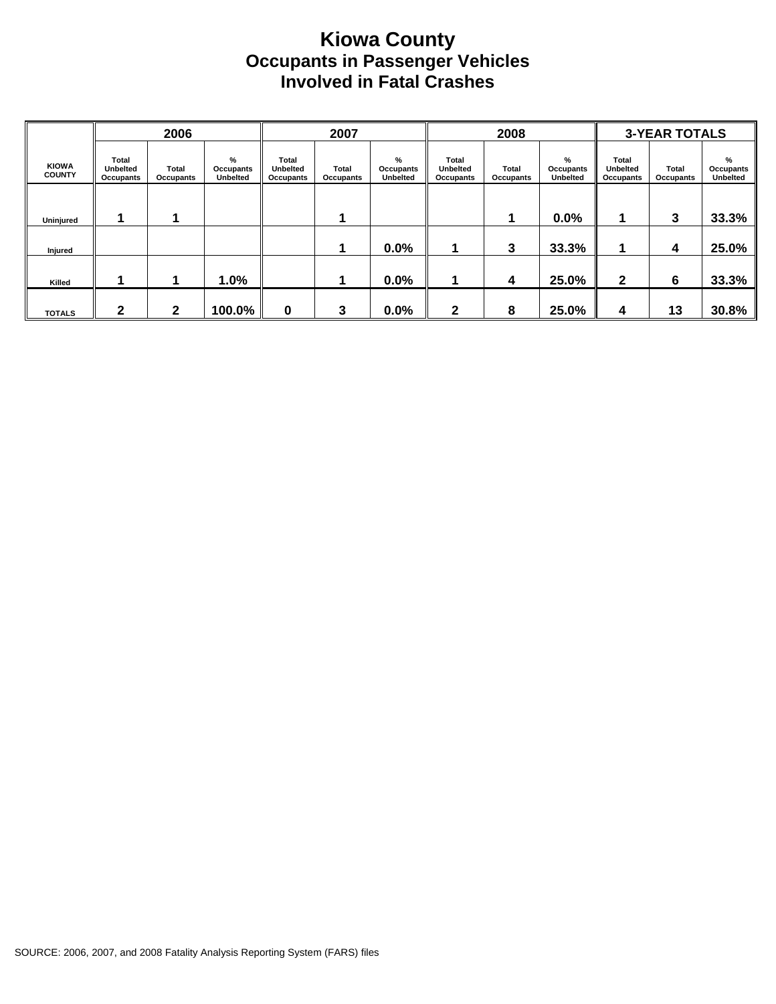#### **Kiowa County Occupants in Passenger Vehicles Involved in Fatal Crashes**

|                               |                                              | 2006               |                                   |                                              | 2007               |                                   |                                              | 2008               |                                      |                                       | <b>3-YEAR TOTALS</b> |                                   |
|-------------------------------|----------------------------------------------|--------------------|-----------------------------------|----------------------------------------------|--------------------|-----------------------------------|----------------------------------------------|--------------------|--------------------------------------|---------------------------------------|----------------------|-----------------------------------|
| <b>KIOWA</b><br><b>COUNTY</b> | <b>Total</b><br><b>Unbelted</b><br>Occupants | Total<br>Occupants | %<br>Occupants<br><b>Unbelted</b> | <b>Total</b><br><b>Unbelted</b><br>Occupants | Total<br>Occupants | %<br>Occupants<br><b>Unbelted</b> | Total<br><b>Unbelted</b><br><b>Occupants</b> | Total<br>Occupants | $\%$<br>Occupants<br><b>Unbelted</b> | Total<br><b>Unbelted</b><br>Occupants | Total<br>Occupants   | %<br>Occupants<br><b>Unbelted</b> |
| Uninjured                     |                                              |                    |                                   |                                              |                    |                                   |                                              |                    | 0.0%                                 |                                       | 3                    | 33.3%                             |
| Injured                       |                                              |                    |                                   |                                              | 1                  | 0.0%                              |                                              | 3                  | 33.3%                                | 1                                     | 4                    | 25.0%                             |
| Killed                        |                                              | п                  | 1.0%                              |                                              | 1                  | 0.0%                              |                                              | 4                  | 25.0%                                | $\mathbf{2}$                          | 6                    | 33.3%                             |
| <b>TOTALS</b>                 | 2                                            | $\mathbf 2$        | 100.0%                            | 0                                            | 3                  | 0.0%                              | 2                                            | 8                  | 25.0%                                | 4                                     | 13                   | 30.8%                             |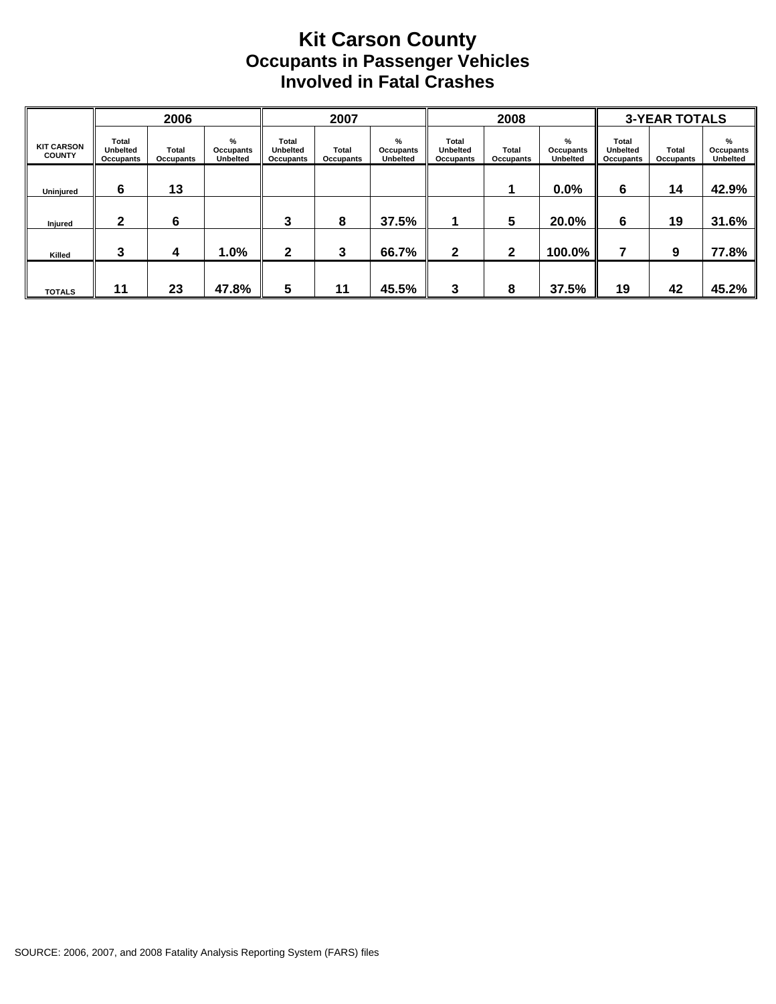#### **Kit Carson County Occupants in Passenger Vehicles Involved in Fatal Crashes**

|                                    |                                | 2006               |                                      |                                       | 2007               |                                   |                                       | 2008               |                                   |                                       | <b>3-YEAR TOTALS</b> |                                          |
|------------------------------------|--------------------------------|--------------------|--------------------------------------|---------------------------------------|--------------------|-----------------------------------|---------------------------------------|--------------------|-----------------------------------|---------------------------------------|----------------------|------------------------------------------|
| <b>KIT CARSON</b><br><b>COUNTY</b> | Total<br>Unbelted<br>Occupants | Total<br>Occupants | $\%$<br>Occupants<br><b>Unbelted</b> | Total<br><b>Unbelted</b><br>Occupants | Total<br>Occupants | %<br>Occupants<br><b>Unbelted</b> | Total<br><b>Unbelted</b><br>Occupants | Total<br>Occupants | %<br>Occupants<br><b>Unbelted</b> | Total<br><b>Unbelted</b><br>Occupants | Total<br>Occupants   | %<br><b>Occupants</b><br><b>Unbelted</b> |
| Uninjured                          | 6                              | 13                 |                                      |                                       |                    |                                   |                                       |                    | 0.0%                              | 6                                     | 14                   | 42.9%                                    |
| Injured                            | $\mathbf{2}$                   | 6                  |                                      | 3                                     | 8                  | 37.5%                             |                                       | 5                  | 20.0%                             | 6                                     | 19                   | 31.6%                                    |
| Killed                             | 3                              | 4                  | 1.0%                                 | $\mathbf{2}$                          | 3                  | 66.7%                             | $\mathbf{2}$                          | $\mathbf{2}$       | 100.0%                            |                                       | 9                    | 77.8%                                    |
| <b>TOTALS</b>                      | 11                             | 23                 | 47.8%                                | 5                                     | 11                 | 45.5%                             | 3                                     | 8                  | 37.5%                             | 19                                    | 42                   | 45.2%                                    |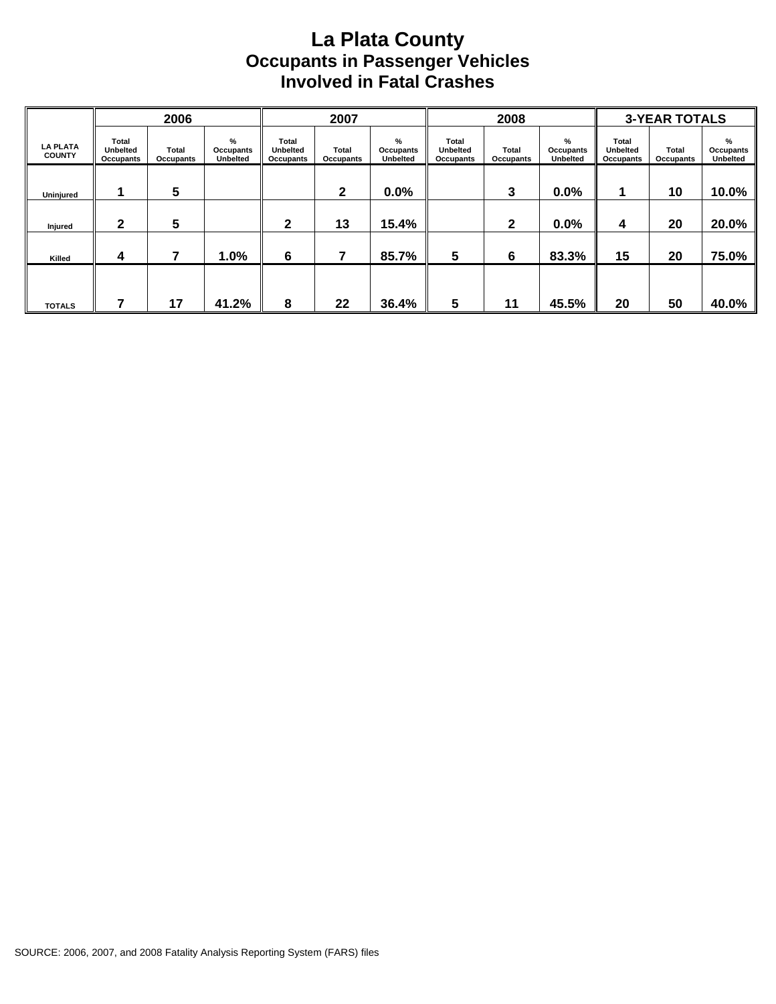### **La Plata County Occupants in Passenger Vehicles Involved in Fatal Crashes**

|                                  |                                       | 2006               |                                      |                                       | 2007               |                                          |                                       | 2008               |                                   |                                       | <b>3-YEAR TOTALS</b> |                                   |
|----------------------------------|---------------------------------------|--------------------|--------------------------------------|---------------------------------------|--------------------|------------------------------------------|---------------------------------------|--------------------|-----------------------------------|---------------------------------------|----------------------|-----------------------------------|
| <b>LA PLATA</b><br><b>COUNTY</b> | Total<br><b>Unbelted</b><br>Occupants | Total<br>Occupants | $\%$<br>Occupants<br><b>Unbelted</b> | Total<br><b>Unbelted</b><br>Occupants | Total<br>Occupants | %<br><b>Occupants</b><br><b>Unbelted</b> | Total<br><b>Unbelted</b><br>Occupants | Total<br>Occupants | %<br>Occupants<br><b>Unbelted</b> | Total<br><b>Unbelted</b><br>Occupants | Total<br>Occupants   | %<br>Occupants<br><b>Unbelted</b> |
| Uninjured                        |                                       | 5                  |                                      |                                       | $\mathbf{2}$       | 0.0%                                     |                                       | 3                  | 0.0%                              |                                       | 10                   | 10.0%                             |
| Injured                          | 2                                     | 5                  |                                      | 2                                     | 13                 | 15.4%                                    |                                       | 2                  | 0.0%                              | 4                                     | 20                   | 20.0%                             |
| Killed                           | 4                                     |                    | 1.0%                                 | 6                                     | 7                  | 85.7%                                    | 5                                     | 6                  | 83.3%                             | 15                                    | 20                   | 75.0%                             |
| <b>TOTALS</b>                    |                                       | 17                 | 41.2%                                | 8                                     | 22                 | 36.4%                                    | 5                                     | 11                 | 45.5%                             | 20                                    | 50                   | 40.0%                             |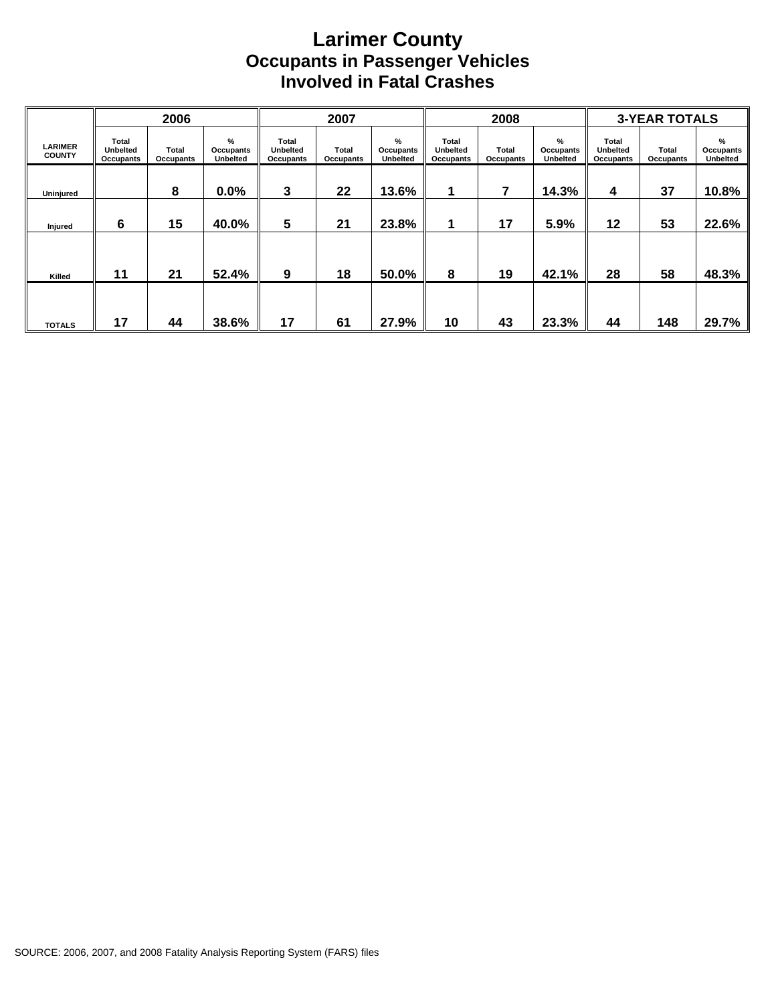### **Larimer County Occupants in Passenger Vehicles Involved in Fatal Crashes**

|                                 |                                              | 2006                      |                                   |                                | 2007               |                                   |                                       | 2008               |                                   |                                       | <b>3-YEAR TOTALS</b> |                                   |
|---------------------------------|----------------------------------------------|---------------------------|-----------------------------------|--------------------------------|--------------------|-----------------------------------|---------------------------------------|--------------------|-----------------------------------|---------------------------------------|----------------------|-----------------------------------|
| <b>LARIMER</b><br><b>COUNTY</b> | <b>Total</b><br><b>Unbelted</b><br>Occupants | <b>Total</b><br>Occupants | %<br>Occupants<br><b>Unbelted</b> | Total<br>Unbelted<br>Occupants | Total<br>Occupants | %<br>Occupants<br><b>Unbelted</b> | Total<br><b>Unbelted</b><br>Occupants | Total<br>Occupants | %<br>Occupants<br><b>Unbelted</b> | Total<br><b>Unbelted</b><br>Occupants | Total<br>Occupants   | %<br>Occupants<br><b>Unbelted</b> |
| Uninjured                       |                                              | 8                         | $0.0\%$                           | 3                              | 22                 | 13.6%                             | 1                                     | 7                  | 14.3%                             | 4                                     | 37                   | 10.8%                             |
| Injured                         | 6                                            | 15                        | 40.0%                             | 5                              | 21                 | 23.8%                             | 1                                     | 17                 | 5.9%                              | 12                                    | 53                   | 22.6%                             |
|                                 |                                              |                           |                                   |                                |                    |                                   |                                       |                    |                                   |                                       |                      |                                   |
| Killed                          | 11                                           | 21                        | 52.4%                             | 9                              | 18                 | 50.0%                             | 8                                     | 19                 | 42.1%                             | 28                                    | 58                   | 48.3%                             |
| <b>TOTALS</b>                   | 17                                           | 44                        | 38.6%                             | 17                             | 61                 | 27.9%                             | 10                                    | 43                 | 23.3%                             | 44                                    | 148                  | 29.7%                             |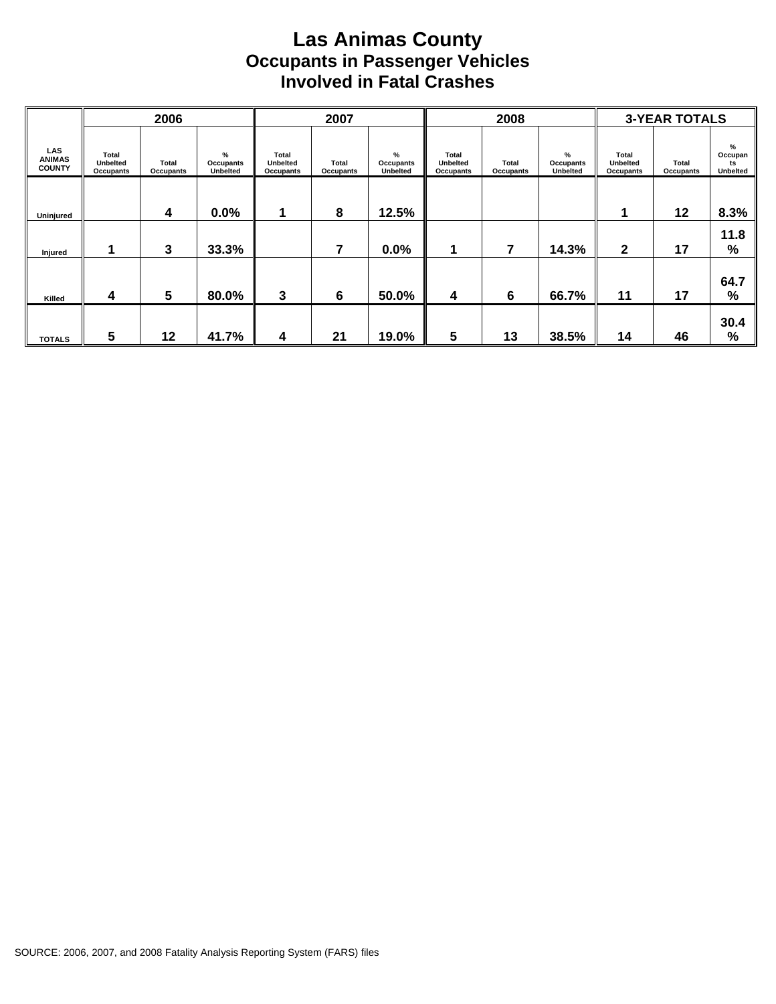### **Las Animas County Occupants in Passenger Vehicles Involved in Fatal Crashes**

|                                       |                                       | 2006               |                               |                                       | 2007               |                                   |                                       | 2008                      |                                   |                                       | <b>3-YEAR TOTALS</b> |                                |
|---------------------------------------|---------------------------------------|--------------------|-------------------------------|---------------------------------------|--------------------|-----------------------------------|---------------------------------------|---------------------------|-----------------------------------|---------------------------------------|----------------------|--------------------------------|
| LAS<br><b>ANIMAS</b><br><b>COUNTY</b> | Total<br><b>Unbelted</b><br>Occupants | Total<br>Occupants | $\%$<br>Occupants<br>Unbelted | Total<br><b>Unbelted</b><br>Occupants | Total<br>Occupants | %<br>Occupants<br><b>Unbelted</b> | Total<br><b>Unbelted</b><br>Occupants | <b>Total</b><br>Occupants | %<br>Occupants<br><b>Unbelted</b> | Total<br><b>Unbelted</b><br>Occupants | Total<br>Occupants   | %<br>Occupan<br>ts<br>Unbelted |
| Uninjured                             |                                       | 4                  | 0.0%                          | и                                     | 8                  | 12.5%                             |                                       |                           |                                   |                                       | $12 \,$              | 8.3%                           |
| Injured                               |                                       | 3                  | 33.3%                         |                                       | 7                  | 0.0%                              |                                       | 7                         | 14.3%                             | $\mathbf{2}$                          | 17                   | 11.8<br>%                      |
| Killed                                | 4                                     | $5\phantom{.0}$    | 80.0%                         | 3                                     | 6                  | 50.0%                             | 4                                     | 6                         | 66.7%                             | 11                                    | 17                   | 64.7<br>%                      |
| <b>TOTALS</b>                         | 5                                     | 12                 | 41.7%                         | 4                                     | 21                 | 19.0%                             | 5                                     | 13                        | 38.5%                             | 14                                    | 46                   | 30.4<br>$\frac{0}{0}$          |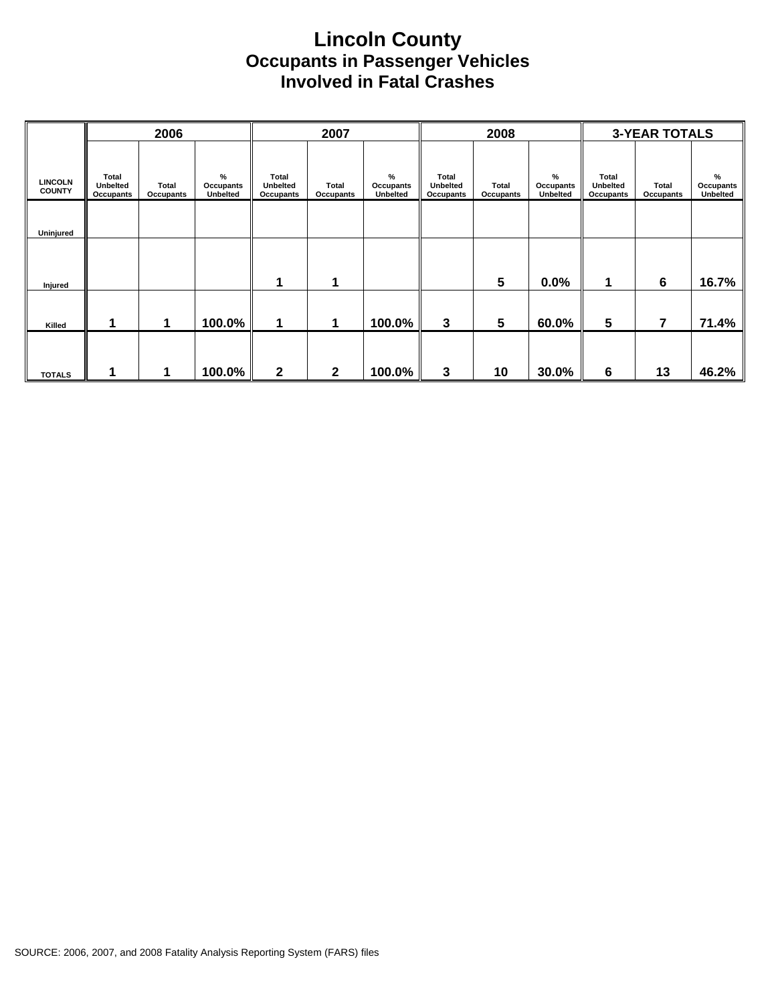#### **Lincoln County Occupants in Passenger Vehicles Involved in Fatal Crashes**

|                                 |                                | 2006               |                                      |                                       | 2007                      |                                   |                                       | 2008               |                                   |                                       | <b>3-YEAR TOTALS</b> |                            |
|---------------------------------|--------------------------------|--------------------|--------------------------------------|---------------------------------------|---------------------------|-----------------------------------|---------------------------------------|--------------------|-----------------------------------|---------------------------------------|----------------------|----------------------------|
| <b>LINCOLN</b><br><b>COUNTY</b> | Total<br>Unbelted<br>Occupants | Total<br>Occupants | $\%$<br>Occupants<br><b>Unbelted</b> | Total<br><b>Unbelted</b><br>Occupants | Total<br><b>Occupants</b> | %<br>Occupants<br><b>Unbelted</b> | Total<br><b>Unbelted</b><br>Occupants | Total<br>Occupants | %<br>Occupants<br><b>Unbelted</b> | Total<br><b>Unbelted</b><br>Occupants | Total<br>Occupants   | %<br>Occupants<br>Unbelted |
| Uninjured                       |                                |                    |                                      |                                       |                           |                                   |                                       |                    |                                   |                                       |                      |                            |
|                                 |                                |                    |                                      |                                       |                           |                                   |                                       |                    |                                   |                                       |                      |                            |
| Injured                         |                                |                    |                                      | 1                                     | 1                         |                                   |                                       | 5                  | 0.0%                              | 1                                     | 6                    | 16.7%                      |
| Killed                          |                                | 1                  | 100.0%                               | $\mathbf 1$                           | 1                         | 100.0%                            | 3                                     | $5\phantom{.0}$    | 60.0%                             | $5\phantom{.0}$                       | $\overline{7}$       | 71.4%                      |
| <b>TOTALS</b>                   |                                |                    | 100.0%                               | $\mathbf{2}$                          | $\mathbf{2}$              | 100.0%                            | 3                                     | 10                 | 30.0%                             | 6                                     | 13                   | 46.2%                      |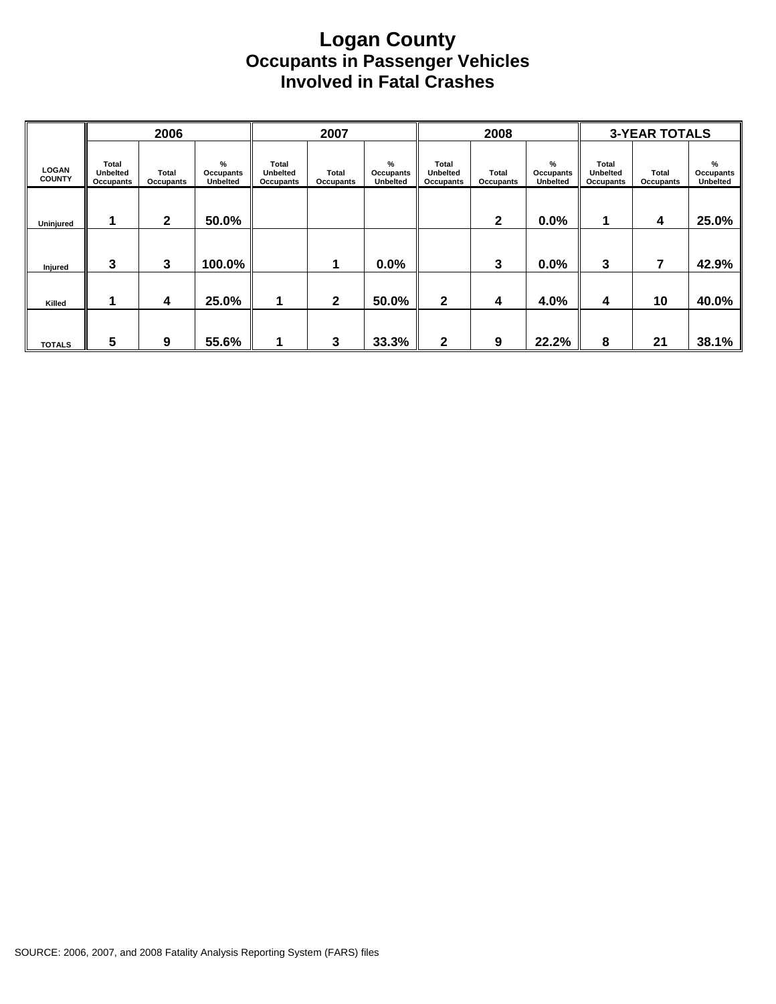#### **Logan County Occupants in Passenger Vehicles Involved in Fatal Crashes**

|                               |                                       | 2006                      |                                   |                                              | 2007               |                                   |                                       | 2008               |                                   |                                       | <b>3-YEAR TOTALS</b> |                                   |
|-------------------------------|---------------------------------------|---------------------------|-----------------------------------|----------------------------------------------|--------------------|-----------------------------------|---------------------------------------|--------------------|-----------------------------------|---------------------------------------|----------------------|-----------------------------------|
| <b>LOGAN</b><br><b>COUNTY</b> | Total<br><b>Unbelted</b><br>Occupants | <b>Total</b><br>Occupants | %<br>Occupants<br><b>Unbelted</b> | <b>Total</b><br><b>Unbelted</b><br>Occupants | Total<br>Occupants | %<br>Occupants<br><b>Unbelted</b> | Total<br><b>Unbelted</b><br>Occupants | Total<br>Occupants | %<br>Occupants<br><b>Unbelted</b> | Total<br><b>Unbelted</b><br>Occupants | Total<br>Occupants   | %<br>Occupants<br><b>Unbelted</b> |
| Uninjured                     |                                       | $\mathbf{2}$              | 50.0%                             |                                              |                    |                                   |                                       | $\mathbf{2}$       | 0.0%                              | 1                                     | 4                    | 25.0%                             |
| Injured                       | 3                                     | 3                         | 100.0%                            |                                              | 1                  | 0.0%                              |                                       | 3                  | 0.0%                              | 3                                     | 7                    | 42.9%                             |
| Killed                        |                                       | 4                         | 25.0%                             | ٠                                            | $\mathbf{2}$       | 50.0%                             | $\mathbf{2}$                          | 4                  | 4.0%                              | 4                                     | 10                   | 40.0%                             |
| <b>TOTALS</b>                 | 5                                     | 9                         | 55.6%                             |                                              | 3                  | 33.3%                             | $\mathbf{2}$                          | 9                  | 22.2%                             | 8                                     | 21                   | 38.1%                             |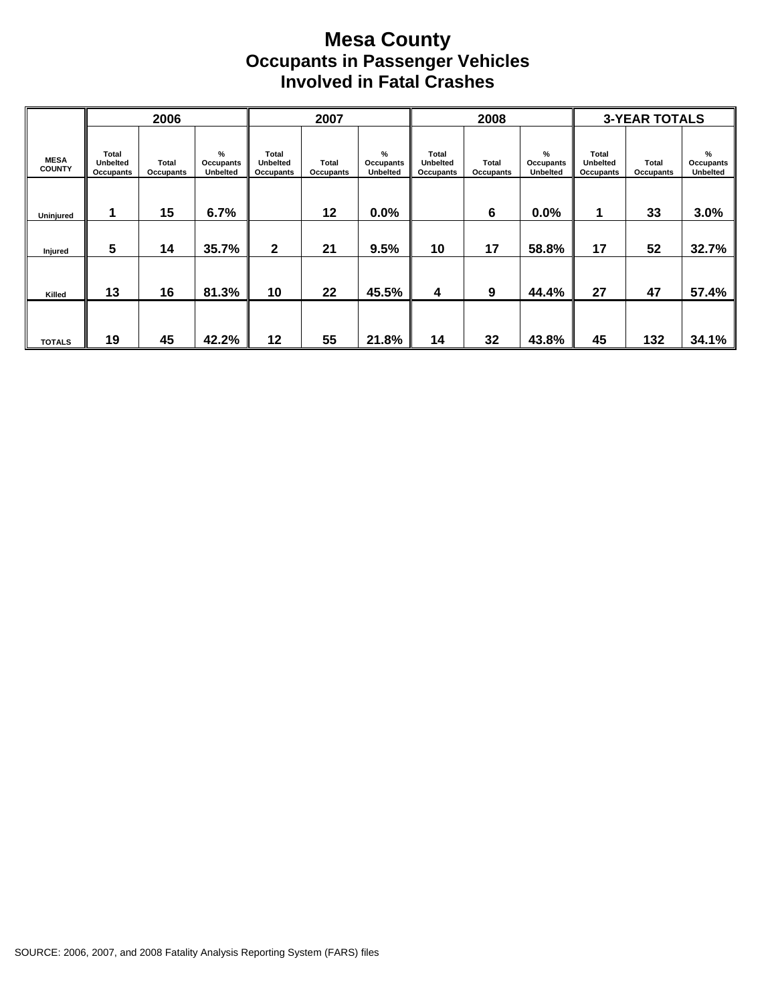#### **Mesa County Occupants in Passenger Vehicles Involved in Fatal Crashes**

|                              |                                       | 2006               |                                   |                                       | 2007               |                                   |                                       | 2008                      |                                   |                                       | <b>3-YEAR TOTALS</b> |                                   |
|------------------------------|---------------------------------------|--------------------|-----------------------------------|---------------------------------------|--------------------|-----------------------------------|---------------------------------------|---------------------------|-----------------------------------|---------------------------------------|----------------------|-----------------------------------|
| <b>MESA</b><br><b>COUNTY</b> | Total<br><b>Unbelted</b><br>Occupants | Total<br>Occupants | %<br>Occupants<br><b>Unbelted</b> | Total<br><b>Unbelted</b><br>Occupants | Total<br>Occupants | %<br>Occupants<br><b>Unbelted</b> | Total<br><b>Unbelted</b><br>Occupants | <b>Total</b><br>Occupants | %<br>Occupants<br><b>Unbelted</b> | Total<br><b>Unbelted</b><br>Occupants | Total<br>Occupants   | %<br>Occupants<br><b>Unbelted</b> |
| Uninjured                    |                                       | 15                 | 6.7%                              |                                       | 12                 | $0.0\%$                           |                                       | 6                         | 0.0%                              |                                       | 33                   | 3.0%                              |
| Injured                      | 5                                     | 14                 | 35.7%                             | 2                                     | 21                 | 9.5%                              | 10                                    | 17                        | 58.8%                             | 17                                    | 52                   | 32.7%                             |
| Killed                       | 13                                    | 16                 | 81.3%                             | 10                                    | 22                 | 45.5%                             | 4                                     | 9                         | 44.4%                             | 27                                    | 47                   | 57.4%                             |
| <b>TOTALS</b>                | 19                                    | 45                 | 42.2%                             | 12                                    | 55                 | 21.8%                             | 14                                    | 32                        | 43.8%                             | 45                                    | 132                  | 34.1%                             |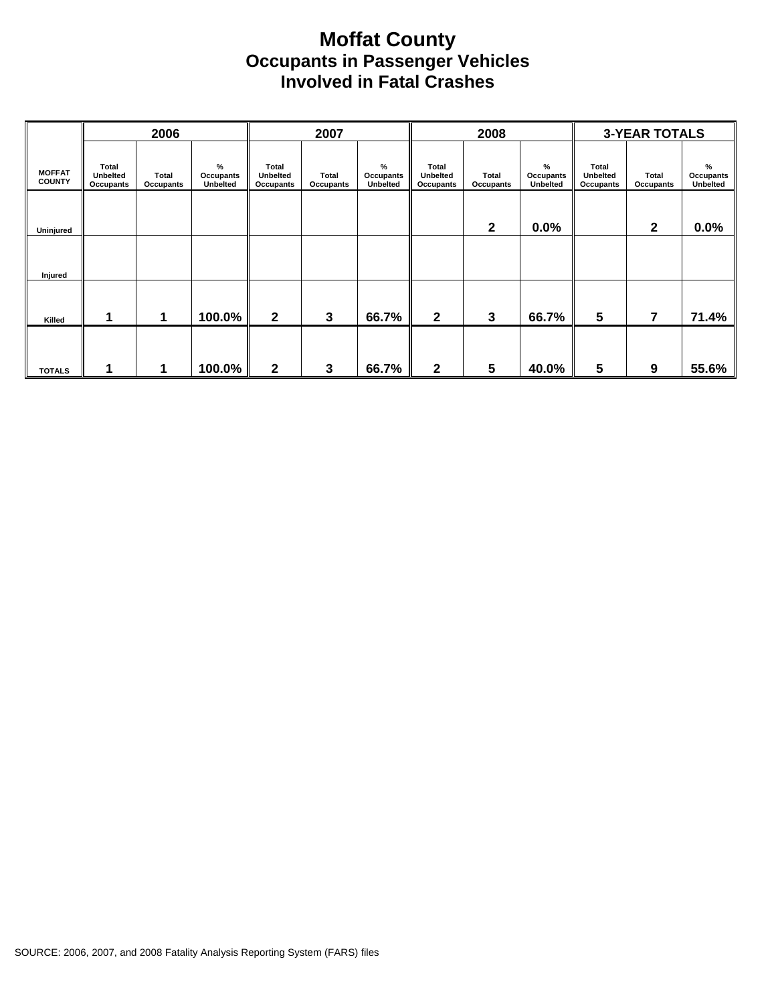#### **Moffat County Occupants in Passenger Vehicles Involved in Fatal Crashes**

|                                |                                       | 2006               |                                      |                                       | 2007               |                                   |                                       | 2008               |                                   |                                              | <b>3-YEAR TOTALS</b> |                               |
|--------------------------------|---------------------------------------|--------------------|--------------------------------------|---------------------------------------|--------------------|-----------------------------------|---------------------------------------|--------------------|-----------------------------------|----------------------------------------------|----------------------|-------------------------------|
| <b>MOFFAT</b><br><b>COUNTY</b> | Total<br><b>Unbelted</b><br>Occupants | Total<br>Occupants | $\%$<br>Occupants<br><b>Unbelted</b> | Total<br><b>Unbelted</b><br>Occupants | Total<br>Occupants | %<br>Occupants<br><b>Unbelted</b> | Total<br><b>Unbelted</b><br>Occupants | Total<br>Occupants | %<br>Occupants<br><b>Unbelted</b> | <b>Total</b><br><b>Unbelted</b><br>Occupants | Total<br>Occupants   | $\%$<br>Occupants<br>Unbelted |
| Uninjured                      |                                       |                    |                                      |                                       |                    |                                   |                                       | 2                  | 0.0%                              |                                              | 2                    | 0.0%                          |
| Injured                        |                                       |                    |                                      |                                       |                    |                                   |                                       |                    |                                   |                                              |                      |                               |
| Killed                         | 1                                     | 1                  | 100.0%                               | $\mathbf{2}$                          | 3                  | 66.7%                             | $\mathbf{2}$                          | 3                  | 66.7%                             | 5                                            | 7                    | 71.4%                         |
| <b>TOTALS</b>                  |                                       | 1                  | 100.0%                               | 2                                     | 3                  | 66.7%                             | $\mathbf 2$                           | 5                  | 40.0%                             | 5                                            | 9                    | 55.6%                         |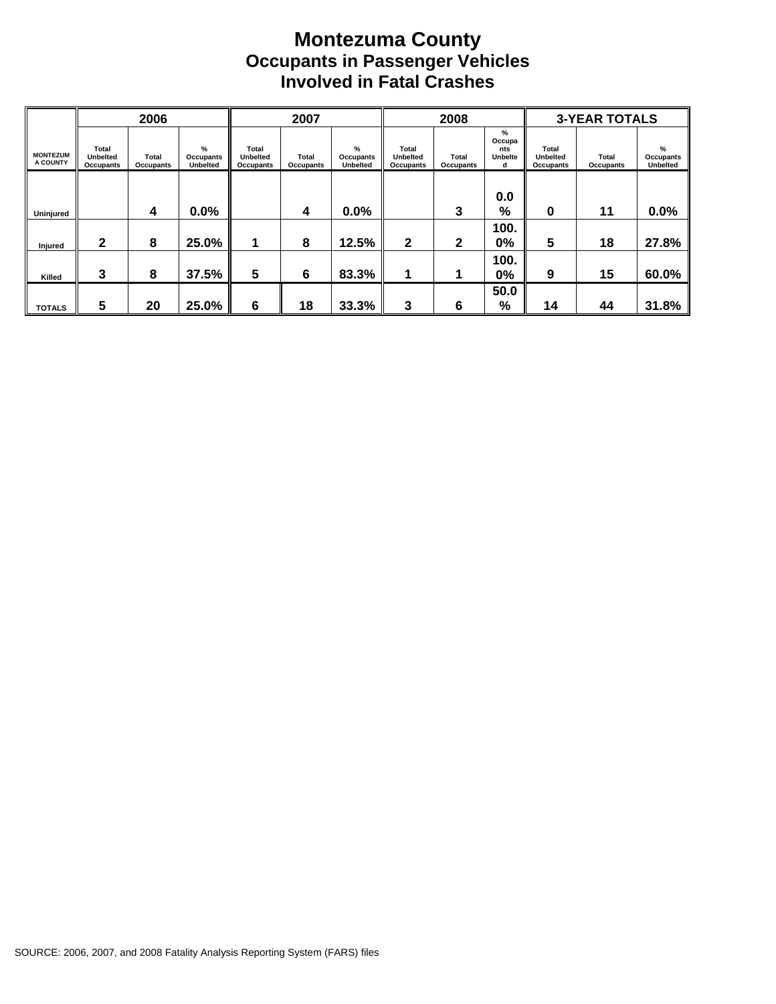#### **Montezuma County Occupants in Passenger Vehicles Involved in Fatal Crashes**

|                             |                                       | 2006                      |                                   |                                       | 2007                      |                                   |                                              | 2008               |                                           |                                       | <b>3-YEAR TOTALS</b> |                                   |
|-----------------------------|---------------------------------------|---------------------------|-----------------------------------|---------------------------------------|---------------------------|-----------------------------------|----------------------------------------------|--------------------|-------------------------------------------|---------------------------------------|----------------------|-----------------------------------|
| <b>MONTEZUM</b><br>A COUNTY | Total<br><b>Unbelted</b><br>Occupants | <b>Total</b><br>Occupants | %<br>Occupants<br><b>Unbelted</b> | Total<br><b>Unbelted</b><br>Occupants | Total<br><b>Occupants</b> | %<br>Occupants<br><b>Unbelted</b> | <b>Total</b><br><b>Unbelted</b><br>Occupants | Total<br>Occupants | %<br>Occupa<br>nts<br><b>Unbelte</b><br>d | Total<br><b>Unbelted</b><br>Occupants | Total<br>Occupants   | %<br>Occupants<br><b>Unbelted</b> |
| Uninjured                   |                                       | 4                         | $0.0\%$                           |                                       | 4                         | $0.0\%$                           |                                              | 3                  | 0.0<br>%                                  | 0                                     | 11                   | 0.0%                              |
| Injured                     | $\mathbf{2}$                          | 8                         | 25.0%                             |                                       | 8                         | 12.5%                             | $\mathbf{2}$                                 | $\mathbf{2}$       | 100.<br>0%                                | 5                                     | 18                   | 27.8%                             |
| Killed                      | 3                                     | 8                         | 37.5%                             | 5                                     | 6                         | 83.3%                             | 1                                            |                    | 100.<br>0%                                | 9                                     | 15                   | 60.0%                             |
| <b>TOTALS</b>               | 5                                     | 20                        | 25.0%                             | 6                                     | 18                        | 33.3%                             | 3                                            | 6                  | 50.0<br>%                                 | 14                                    | 44                   | 31.8%                             |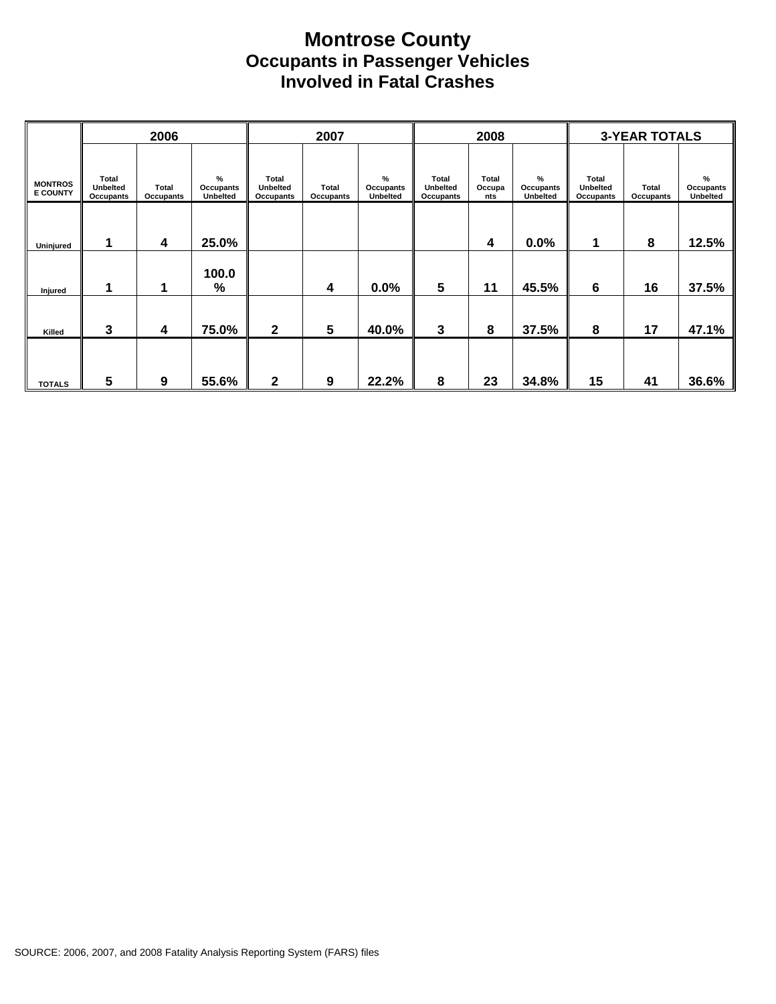#### **Montrose County Occupants in Passenger Vehicles Involved in Fatal Crashes**

|                                   |                                       | 2006                      |                                      |                                | 2007               |                                   |                                              | 2008                          |                                   |                                | <b>3-YEAR TOTALS</b> |                               |
|-----------------------------------|---------------------------------------|---------------------------|--------------------------------------|--------------------------------|--------------------|-----------------------------------|----------------------------------------------|-------------------------------|-----------------------------------|--------------------------------|----------------------|-------------------------------|
| <b>MONTROS</b><br><b>E COUNTY</b> | Total<br>Unbelted<br><b>Occupants</b> | <b>Total</b><br>Occupants | $\%$<br>Occupants<br><b>Unbelted</b> | Total<br>Unbelted<br>Occupants | Total<br>Occupants | %<br>Occupants<br><b>Unbelted</b> | <b>Total</b><br><b>Unbelted</b><br>Occupants | <b>Total</b><br>Occupa<br>nts | %<br>Occupants<br><b>Unbelted</b> | Total<br>Unbelted<br>Occupants | Total<br>Occupants   | $\%$<br>Occupants<br>Unbelted |
| Uninjured                         |                                       | 4                         | 25.0%                                |                                |                    |                                   |                                              | 4                             | 0.0%                              |                                | 8                    | 12.5%                         |
| Injured                           | 1                                     | 1                         | 100.0<br>%                           |                                | 4                  | 0.0%                              | 5                                            | 11                            | 45.5%                             | 6                              | 16                   | 37.5%                         |
| Killed                            | 3                                     | 4                         | 75.0%                                | $\mathbf{2}$                   | 5                  | 40.0%                             | 3                                            | 8                             | 37.5%                             | 8                              | 17                   | 47.1%                         |
| <b>TOTALS</b>                     | 5                                     | 9                         | 55.6%                                | $\mathbf{2}$                   | 9                  | 22.2%                             | 8                                            | 23                            | 34.8%                             | 15                             | 41                   | 36.6%                         |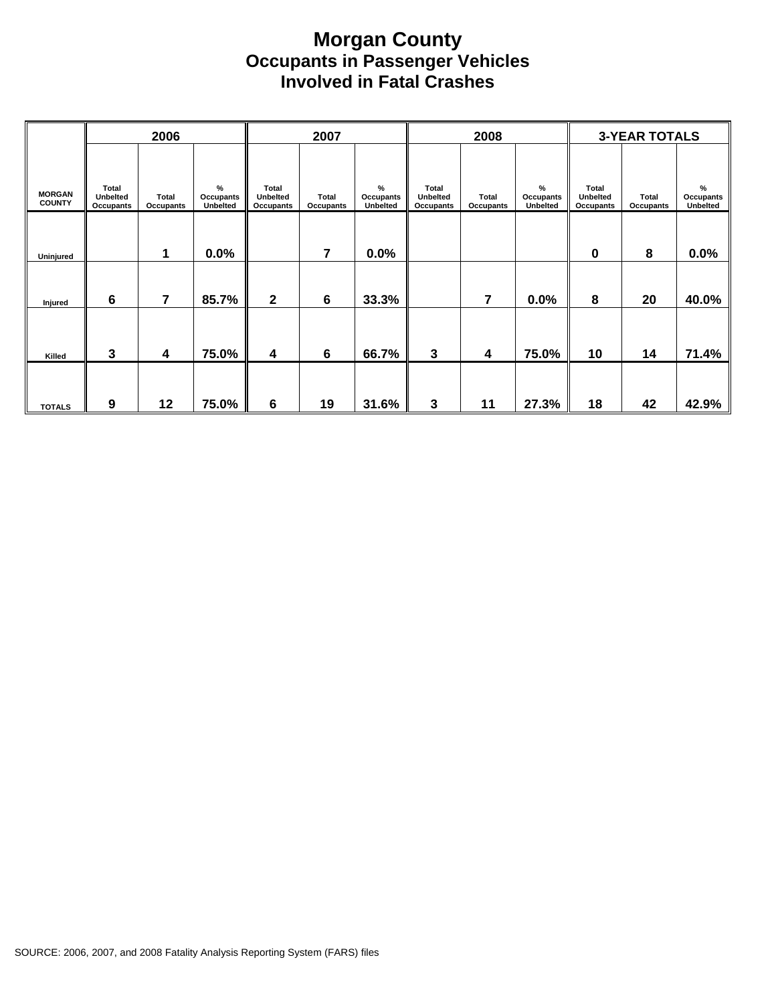#### **Morgan County Occupants in Passenger Vehicles Involved in Fatal Crashes**

|                                |                                                     | 2006                      |                                          |                                                     | 2007                             |                                   |                                       | 2008                      |                                   |                                       | <b>3-YEAR TOTALS</b> |                            |
|--------------------------------|-----------------------------------------------------|---------------------------|------------------------------------------|-----------------------------------------------------|----------------------------------|-----------------------------------|---------------------------------------|---------------------------|-----------------------------------|---------------------------------------|----------------------|----------------------------|
| <b>MORGAN</b><br><b>COUNTY</b> | <b>Total</b><br><b>Unbelted</b><br><b>Occupants</b> | <b>Total</b><br>Occupants | %<br><b>Occupants</b><br><b>Unbelted</b> | <b>Total</b><br><b>Unbelted</b><br><b>Occupants</b> | <b>Total</b><br><b>Occupants</b> | %<br>Occupants<br><b>Unbelted</b> | Total<br>Unbelted<br><b>Occupants</b> | <b>Total</b><br>Occupants | %<br>Occupants<br><b>Unbelted</b> | Total<br>Unbelted<br><b>Occupants</b> | Total<br>Occupants   | %<br>Occupants<br>Unbelted |
| Uninjured                      |                                                     | 1                         | 0.0%                                     |                                                     | 7                                | 0.0%                              |                                       |                           |                                   | 0                                     | 8                    | 0.0%                       |
| Injured                        | 6                                                   | $\overline{7}$            | 85.7%                                    | 2                                                   | $6\phantom{1}6$                  | 33.3%                             |                                       | 7                         | 0.0%                              | 8                                     | 20                   | 40.0%                      |
| Killed                         | 3                                                   | 4                         | 75.0%                                    | 4                                                   | $6\phantom{1}6$                  | 66.7%                             | $\mathbf{3}$                          | 4                         | 75.0%                             | 10                                    | 14                   | 71.4%                      |
| <b>TOTALS</b>                  | 9                                                   | 12                        | 75.0%                                    | $\bf 6$                                             | 19                               | 31.6%                             | 3                                     | 11                        | 27.3%                             | 18                                    | 42                   | 42.9%                      |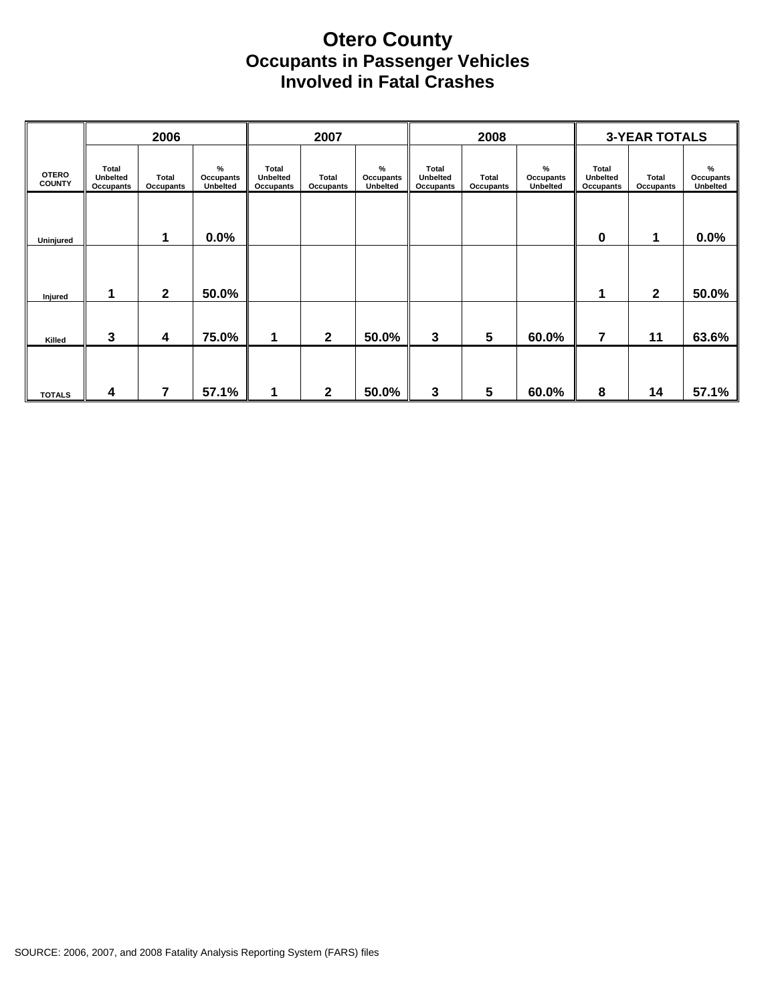#### **Otero County Occupants in Passenger Vehicles Involved in Fatal Crashes**

|                               |                                              | 2006                      |                                   |                                       | 2007               |                                        |                                       | 2008                      |                                      |                                       | <b>3-YEAR TOTALS</b> |                            |
|-------------------------------|----------------------------------------------|---------------------------|-----------------------------------|---------------------------------------|--------------------|----------------------------------------|---------------------------------------|---------------------------|--------------------------------------|---------------------------------------|----------------------|----------------------------|
| <b>OTERO</b><br><b>COUNTY</b> | Total<br><b>Unbelted</b><br><b>Occupants</b> | Total<br><b>Occupants</b> | %<br>Occupants<br><b>Unbelted</b> | Total<br><b>Unbelted</b><br>Occupants | Total<br>Occupants | $\frac{9}{6}$<br>Occupants<br>Unbelted | Total<br><b>Unbelted</b><br>Occupants | <b>Total</b><br>Occupants | $\%$<br>Occupants<br><b>Unbelted</b> | Total<br><b>Unbelted</b><br>Occupants | Total<br>Occupants   | %<br>Occupants<br>Unbelted |
| Uninjured                     |                                              | 1                         | 0.0%                              |                                       |                    |                                        |                                       |                           |                                      | 0                                     | 1                    | 0.0%                       |
|                               | 1                                            | $\mathbf{2}$              | 50.0%                             |                                       |                    |                                        |                                       |                           |                                      |                                       | $\mathbf{2}$         | 50.0%                      |
| Injured<br>Killed             | 3                                            | 4                         | 75.0%                             | 1                                     | $\mathbf{2}$       | 50.0%                                  | 3                                     | 5                         | 60.0%                                | 7                                     | 11                   | 63.6%                      |
| <b>TOTALS</b>                 | 4                                            | 7                         | 57.1%                             | 1                                     | $\mathbf 2$        | 50.0%                                  | 3                                     | 5                         | 60.0%                                | 8                                     | 14                   | 57.1%                      |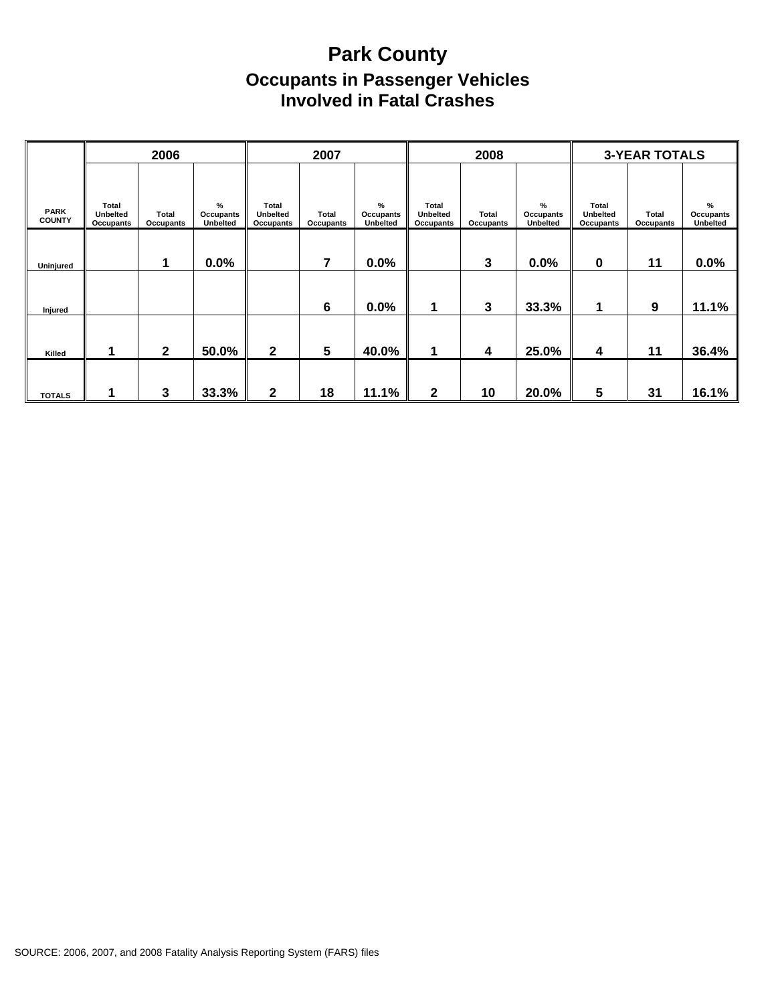## **Park County Occupants in Passenger Vehicles Involved in Fatal Crashes**

|                              |                                       | 2006                      |                               |                                | 2007               |                            |                                       | 2008               |                                   |                                              | <b>3-YEAR TOTALS</b> |                                   |
|------------------------------|---------------------------------------|---------------------------|-------------------------------|--------------------------------|--------------------|----------------------------|---------------------------------------|--------------------|-----------------------------------|----------------------------------------------|----------------------|-----------------------------------|
| <b>PARK</b><br><b>COUNTY</b> | Total<br><b>Unbelted</b><br>Occupants | <b>Total</b><br>Occupants | $\%$<br>Occupants<br>Unbelted | Total<br>Unbelted<br>Occupants | Total<br>Occupants | %<br>Occupants<br>Unbelted | Total<br><b>Unbelted</b><br>Occupants | Total<br>Occupants | %<br>Occupants<br><b>Unbelted</b> | Total<br><b>Unbelted</b><br><b>Occupants</b> | Total<br>Occupants   | %<br>Occupants<br><b>Unbelted</b> |
| Uninjured                    |                                       | 1                         | 0.0%                          |                                | 7                  | 0.0%                       |                                       | $\mathbf{3}$       | 0.0%                              | 0                                            | 11                   | 0.0%                              |
| Injured                      |                                       |                           |                               |                                | 6                  | 0.0%                       | 1                                     | $\mathbf{3}$       | 33.3%                             |                                              | 9                    | 11.1%                             |
| Killed                       | 1                                     | $\mathbf{2}$              | 50.0%                         | $\mathbf{2}$                   | $5\phantom{1}$     | 40.0%                      | 1                                     | 4                  | 25.0%                             | 4                                            | 11                   | 36.4%                             |
| <b>TOTALS</b>                |                                       | 3                         | 33.3%                         | $\mathbf{2}$                   | 18                 | 11.1%                      | $\mathbf{2}$                          | 10                 | 20.0%                             | 5                                            | 31                   | 16.1%                             |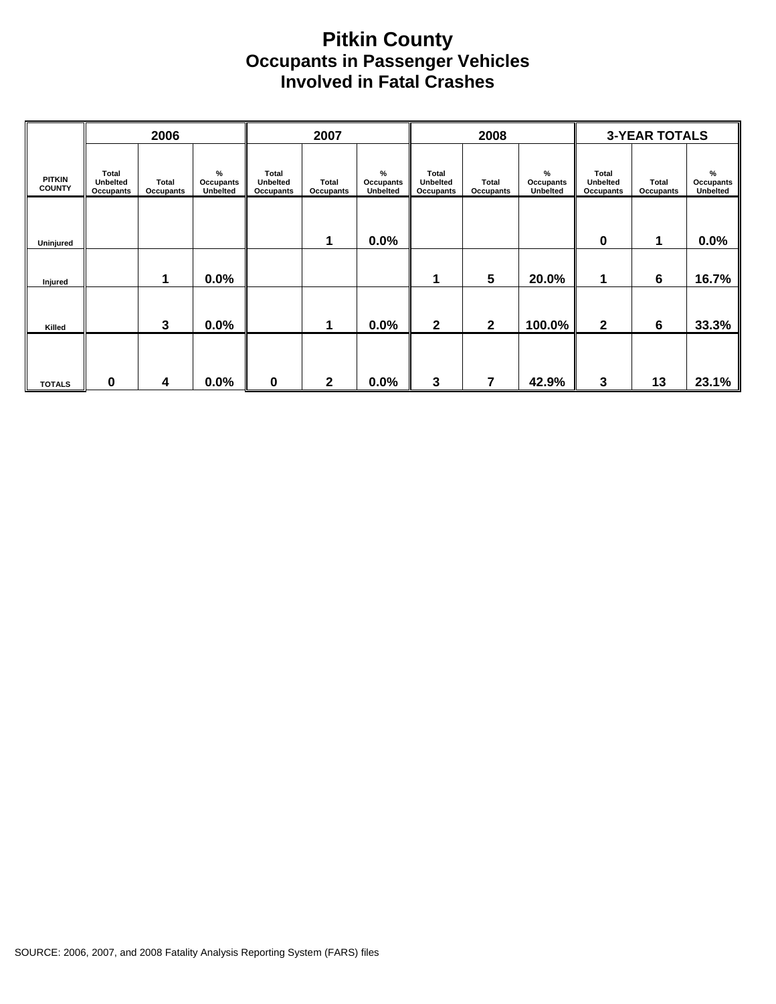#### **Pitkin County Occupants in Passenger Vehicles Involved in Fatal Crashes**

|                                |                                              | 2006               |                                      |                                              | 2007                      |                            |                                       | 2008               |                                               |                                       | <b>3-YEAR TOTALS</b> |                               |
|--------------------------------|----------------------------------------------|--------------------|--------------------------------------|----------------------------------------------|---------------------------|----------------------------|---------------------------------------|--------------------|-----------------------------------------------|---------------------------------------|----------------------|-------------------------------|
| <b>PITKIN</b><br><b>COUNTY</b> | <b>Total</b><br>Unbelted<br><b>Occupants</b> | Total<br>Occupants | $\%$<br><b>Occupants</b><br>Unbelted | <b>Total</b><br><b>Unbelted</b><br>Occupants | <b>Total</b><br>Occupants | %<br>Occupants<br>Unbelted | <b>Total</b><br>Unbelted<br>Occupants | Total<br>Occupants | $\frac{9}{6}$<br>Occupants<br><b>Unbelted</b> | Total<br><b>Unbelted</b><br>Occupants | Total<br>Occupants   | $\%$<br>Occupants<br>Unbelted |
| Uninjured                      |                                              |                    |                                      |                                              | 1                         | $0.0\%$                    |                                       |                    |                                               | 0                                     | 1                    | 0.0%                          |
| Injured                        |                                              | 1                  | 0.0%                                 |                                              |                           |                            | 1                                     | $5\phantom{1}$     | 20.0%                                         | 1                                     | 6                    | 16.7%                         |
| Killed                         |                                              | 3                  | 0.0%                                 |                                              | 1                         | 0.0%                       | $\mathbf{2}$                          | $\mathbf{2}$       | 100.0%                                        | $\mathbf{2}$                          | 6                    | 33.3%                         |
| <b>TOTALS</b>                  | 0                                            | 4                  | 0.0%                                 | 0                                            | $\mathbf{2}$              | 0.0%                       | 3                                     | 7                  | 42.9%                                         | 3                                     | 13                   | 23.1%                         |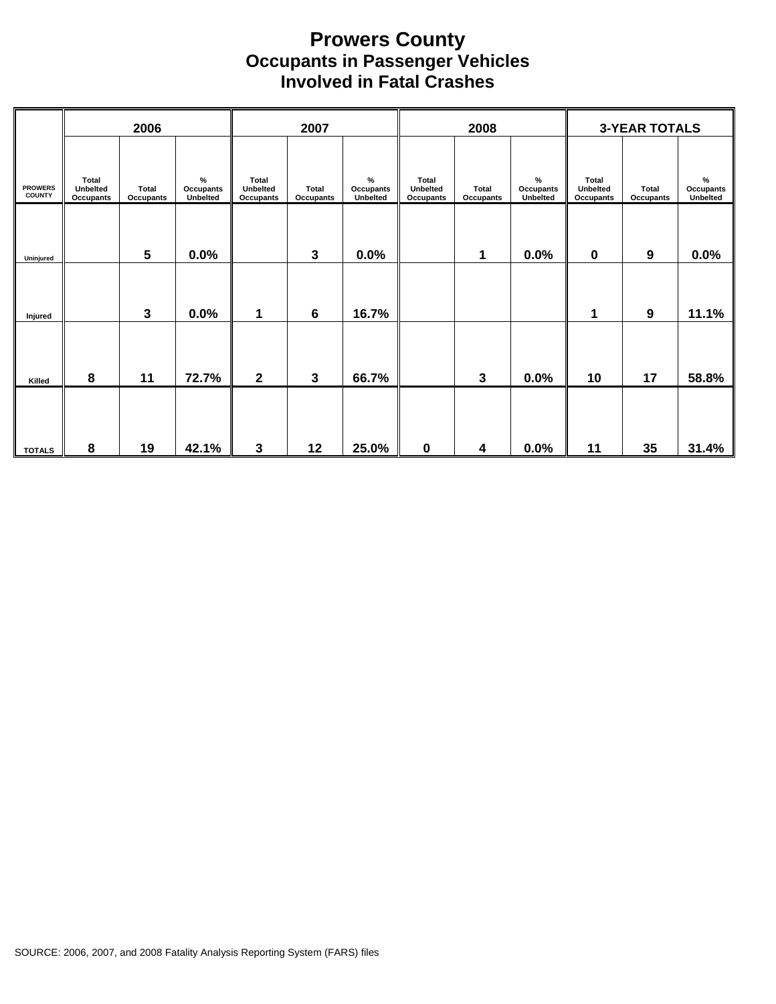#### **Prowers County Occupants in Passenger Vehicles Involved in Fatal Crashes**

|                                 |                                              | 2006                      |                                      |                                              | 2007                      |                                      |                                                     | 2008               |                                      |                                       | <b>3-YEAR TOTALS</b>      |                            |
|---------------------------------|----------------------------------------------|---------------------------|--------------------------------------|----------------------------------------------|---------------------------|--------------------------------------|-----------------------------------------------------|--------------------|--------------------------------------|---------------------------------------|---------------------------|----------------------------|
| <b>PROWERS</b><br><b>COUNTY</b> | <b>Total</b><br>Unbelted<br><b>Occupants</b> | Total<br><b>Occupants</b> | $\%$<br>Occupants<br><b>Unbelted</b> | <b>Total</b><br>Unbelted<br><b>Occupants</b> | <b>Total</b><br>Occupants | $\%$<br>Occupants<br><b>Unbelted</b> | <b>Total</b><br><b>Unbelted</b><br><b>Occupants</b> | Total<br>Occupants | $\%$<br>Occupants<br><b>Unbelted</b> | <b>Total</b><br>Unbelted<br>Occupants | <b>Total</b><br>Occupants | %<br>Occupants<br>Unbelted |
| Uninjured                       |                                              | $5\phantom{.0}$           | 0.0%                                 |                                              | 3                         | 0.0%                                 |                                                     | 1                  | 0.0%                                 | $\mathbf 0$                           | $\boldsymbol{9}$          | 0.0%                       |
| Injured                         |                                              | $\mathbf{3}$              | 0.0%                                 | 1                                            | 6                         | 16.7%                                |                                                     |                    |                                      | 1                                     | 9                         | 11.1%                      |
| Killed                          | 8                                            | 11                        | 72.7%                                | $\mathbf{2}$                                 | $\mathbf{3}$              | 66.7%                                |                                                     | 3                  | 0.0%                                 | 10                                    | 17                        | 58.8%                      |
| <b>TOTALS</b>                   | 8                                            | 19                        | 42.1%                                | 3                                            | 12                        | 25.0%                                | $\pmb{0}$                                           | 4                  | 0.0%                                 | 11                                    | 35                        | 31.4%                      |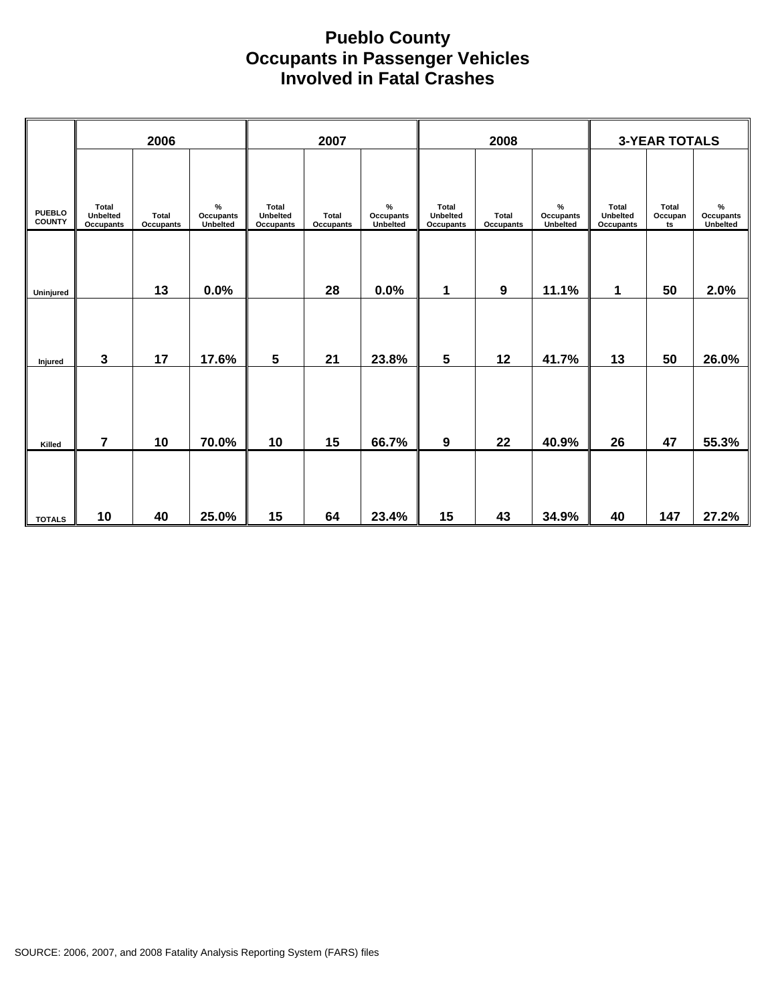#### **Pueblo County Occupants in Passenger Vehicles Involved in Fatal Crashes**

|                                | 2006                           |                    | 2007                       |                                       | 2008                      |                               |                                | <b>3-YEAR TOTALS</b> |                            |                                |                               |                                      |
|--------------------------------|--------------------------------|--------------------|----------------------------|---------------------------------------|---------------------------|-------------------------------|--------------------------------|----------------------|----------------------------|--------------------------------|-------------------------------|--------------------------------------|
| <b>PUEBLO</b><br><b>COUNTY</b> | Total<br>Unbelted<br>Occupants | Total<br>Occupants | %<br>Occupants<br>Unbelted | <b>Total</b><br>Unbelted<br>Occupants | Total<br><b>Occupants</b> | $\%$<br>Occupants<br>Unbelted | Total<br>Unbelted<br>Occupants | Total<br>Occupants   | %<br>Occupants<br>Unbelted | Total<br>Unbelted<br>Occupants | <b>Total</b><br>Occupan<br>ts | $\%$<br><b>Occupants</b><br>Unbelted |
| Uninjured                      |                                | 13                 | 0.0%                       |                                       | 28                        | 0.0%                          | 1                              | 9                    | 11.1%                      | 1                              | 50                            | 2.0%                                 |
| Injured                        | 3                              | 17                 | 17.6%                      | 5                                     | 21                        | 23.8%                         | $5\phantom{1}$                 | 12                   | 41.7%                      | 13                             | 50                            | 26.0%                                |
|                                | $\overline{7}$                 | 10                 | 70.0%                      | 10                                    | 15                        | 66.7%                         | 9                              | 22                   | 40.9%                      | 26                             | 47                            | 55.3%                                |
| Killed                         |                                |                    |                            |                                       |                           |                               |                                |                      |                            |                                |                               |                                      |
| <b>TOTALS</b>                  | 10                             | 40                 | 25.0%                      | 15                                    | 64                        | 23.4%                         | 15                             | 43                   | 34.9%                      | 40                             | 147                           | 27.2%                                |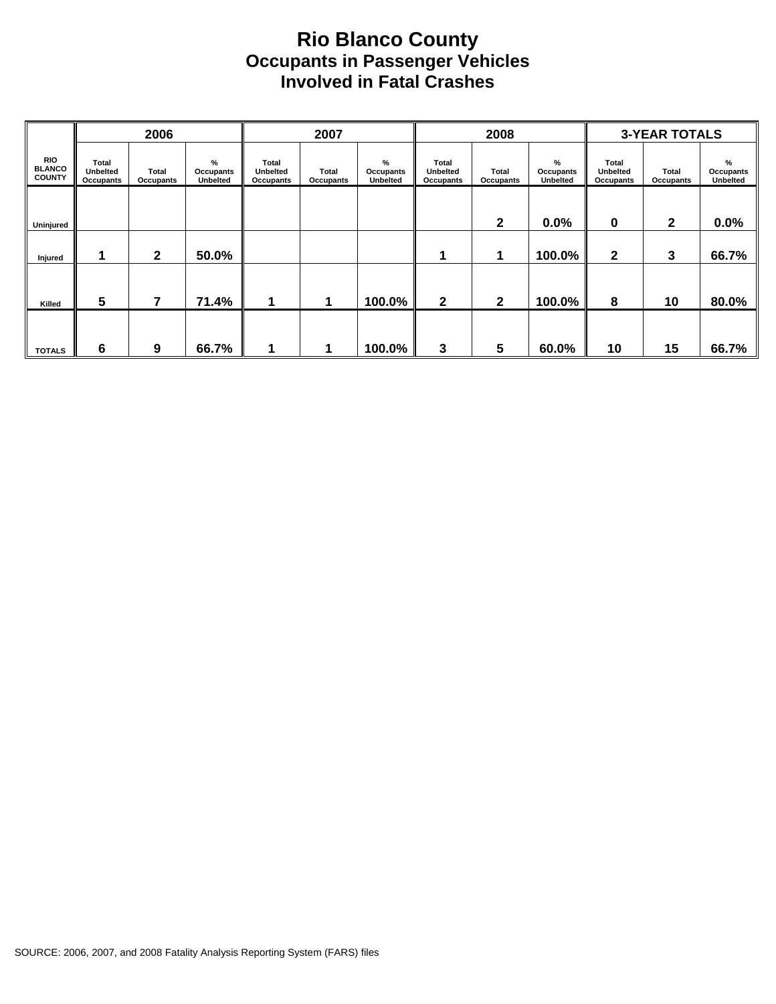#### **Rio Blanco County Occupants in Passenger Vehicles Involved in Fatal Crashes**

|                                              |                                       | 2006               |                                   |                                              | 2007               |                                          |                                       | 2008               |                                   | <b>3-YEAR TOTALS</b>                  |                    |                                   |  |
|----------------------------------------------|---------------------------------------|--------------------|-----------------------------------|----------------------------------------------|--------------------|------------------------------------------|---------------------------------------|--------------------|-----------------------------------|---------------------------------------|--------------------|-----------------------------------|--|
| <b>RIO</b><br><b>BLANCO</b><br><b>COUNTY</b> | Total<br><b>Unbelted</b><br>Occupants | Total<br>Occupants | %<br>Occupants<br><b>Unbelted</b> | <b>Total</b><br><b>Unbelted</b><br>Occupants | Total<br>Occupants | %<br><b>Occupants</b><br><b>Unbelted</b> | Total<br><b>Unbelted</b><br>Occupants | Total<br>Occupants | %<br>Occupants<br><b>Unbelted</b> | Total<br><b>Unbelted</b><br>Occupants | Total<br>Occupants | %<br>Occupants<br><b>Unbelted</b> |  |
|                                              |                                       |                    |                                   |                                              |                    |                                          |                                       |                    |                                   |                                       |                    |                                   |  |
| Uninjured                                    |                                       |                    |                                   |                                              |                    |                                          |                                       | $\mathbf{2}$       | 0.0%                              | 0                                     | $\mathbf{2}$       | 0.0%                              |  |
| Injured                                      |                                       | $\mathbf{2}$       | 50.0%                             |                                              |                    |                                          |                                       |                    | 100.0%                            | $\mathbf{2}$                          | 3                  | 66.7%                             |  |
|                                              |                                       |                    |                                   |                                              |                    |                                          |                                       |                    |                                   |                                       |                    |                                   |  |
| Killed                                       | 5                                     | 7                  | 71.4%                             |                                              |                    | 100.0%                                   | $\mathbf{2}$                          | $\mathbf{2}$       | 100.0%                            | 8                                     | 10                 | 80.0%                             |  |
|                                              |                                       |                    |                                   |                                              |                    |                                          |                                       |                    |                                   |                                       |                    |                                   |  |
| <b>TOTALS</b>                                | 6                                     | 9                  | 66.7%                             |                                              |                    | 100.0%                                   | 3                                     | $5\phantom{1}$     | 60.0%                             | 10                                    | 15                 | 66.7%                             |  |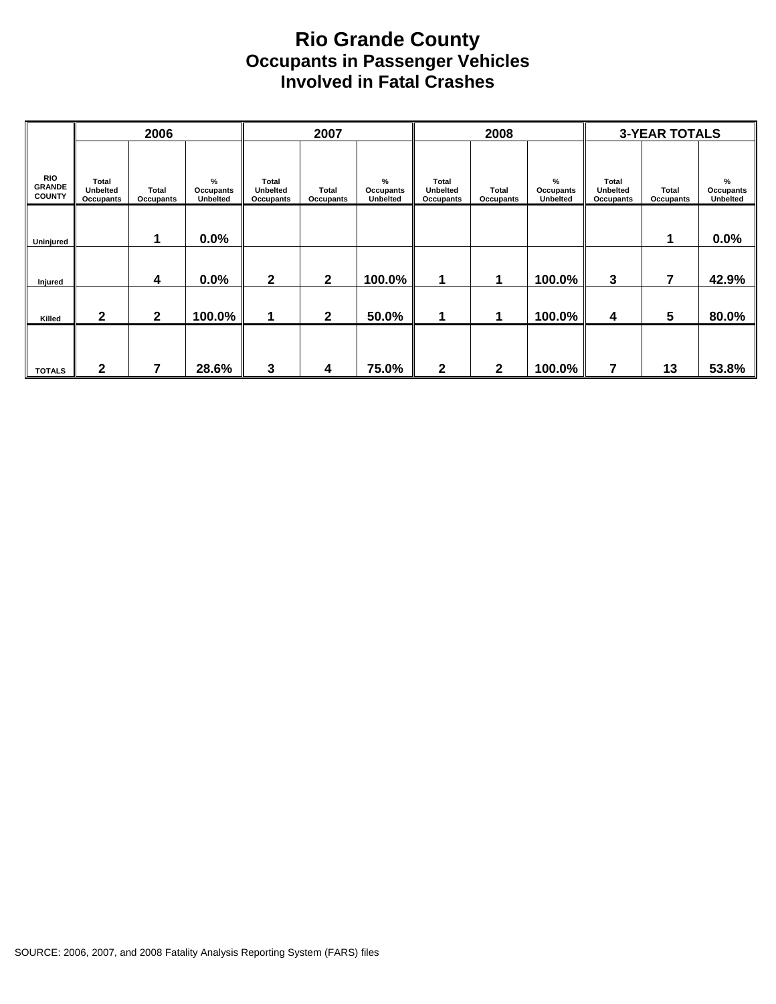#### **Rio Grande County Occupants in Passenger Vehicles Involved in Fatal Crashes**

|                                              |                                       | 2006                      |                                   |                                              | 2007                      |                                   |                                              | 2008                      |                                   | <b>3-YEAR TOTALS</b>                         |                           |                                      |  |
|----------------------------------------------|---------------------------------------|---------------------------|-----------------------------------|----------------------------------------------|---------------------------|-----------------------------------|----------------------------------------------|---------------------------|-----------------------------------|----------------------------------------------|---------------------------|--------------------------------------|--|
| <b>RIO</b><br><b>GRANDE</b><br><b>COUNTY</b> | Total<br><b>Unbelted</b><br>Occupants | <b>Total</b><br>Occupants | %<br>Occupants<br><b>Unbelted</b> | <b>Total</b><br><b>Unbelted</b><br>Occupants | <b>Total</b><br>Occupants | %<br>Occupants<br><b>Unbelted</b> | <b>Total</b><br><b>Unbelted</b><br>Occupants | <b>Total</b><br>Occupants | %<br>Occupants<br><b>Unbelted</b> | <b>Total</b><br><b>Unbelted</b><br>Occupants | <b>Total</b><br>Occupants | $\%$<br>Occupants<br><b>Unbelted</b> |  |
| Uninjured                                    |                                       | 1                         | 0.0%                              |                                              |                           |                                   |                                              |                           |                                   |                                              | 1                         | 0.0%                                 |  |
| Injured                                      |                                       | 4                         | 0.0%                              | $\mathbf{2}$                                 | $\mathbf{2}$              | 100.0%                            | 1                                            | 1                         | 100.0%                            | 3                                            | 7                         | 42.9%                                |  |
| Killed                                       | 2                                     | $\mathbf{2}$              | 100.0%                            | 1                                            | $\mathbf{2}$              | 50.0%                             | 1                                            | 1                         | 100.0%                            | 4                                            | 5                         | 80.0%                                |  |
| <b>TOTALS</b>                                | 2                                     |                           | 28.6%                             | 3                                            | 4                         | 75.0%                             | $\mathbf 2$                                  | $\mathbf{2}$              | 100.0%                            | 7                                            | 13                        | 53.8%                                |  |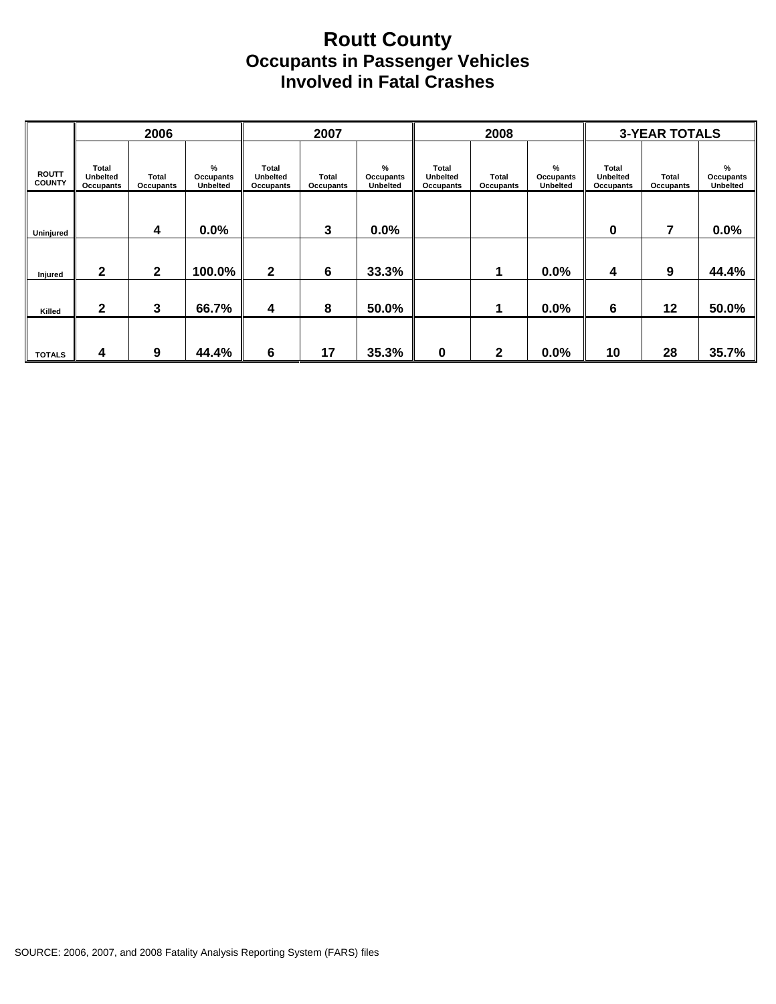#### **Routt County Occupants in Passenger Vehicles Involved in Fatal Crashes**

|                               |                                              | 2006               |                                   | 2007                                         |                    |                                   |                                              | 2008                      |                            | <b>3-YEAR TOTALS</b>                         |                           |                            |  |
|-------------------------------|----------------------------------------------|--------------------|-----------------------------------|----------------------------------------------|--------------------|-----------------------------------|----------------------------------------------|---------------------------|----------------------------|----------------------------------------------|---------------------------|----------------------------|--|
| <b>ROUTT</b><br><b>COUNTY</b> | <b>Total</b><br><b>Unbelted</b><br>Occupants | Total<br>Occupants | %<br>Occupants<br><b>Unbelted</b> | <b>Total</b><br><b>Unbelted</b><br>Occupants | Total<br>Occupants | %<br>Occupants<br><b>Unbelted</b> | <b>Total</b><br><b>Unbelted</b><br>Occupants | <b>Total</b><br>Occupants | %<br>Occupants<br>Unbelted | Total<br><b>Unbelted</b><br><b>Occupants</b> | <b>Total</b><br>Occupants | %<br>Occupants<br>Unbelted |  |
| Uninjured                     |                                              | 4                  | 0.0%                              |                                              | 3                  | 0.0%                              |                                              |                           |                            | 0                                            | 7                         | 0.0%                       |  |
| Injured                       | 2                                            | $\mathbf{2}$       | 100.0%                            | $\mathbf 2$                                  | 6                  | 33.3%                             |                                              | 1                         | 0.0%                       | 4                                            | 9                         | 44.4%                      |  |
| Killed                        | $\mathbf{2}$                                 | 3                  | 66.7%                             | 4                                            | 8                  | 50.0%                             |                                              |                           | 0.0%                       | 6                                            | 12                        | 50.0%                      |  |
| <b>TOTALS</b>                 | 4                                            | 9                  | 44.4%                             | 6                                            | 17                 | 35.3%                             | 0                                            | 2                         | 0.0%                       | 10                                           | 28                        | 35.7%                      |  |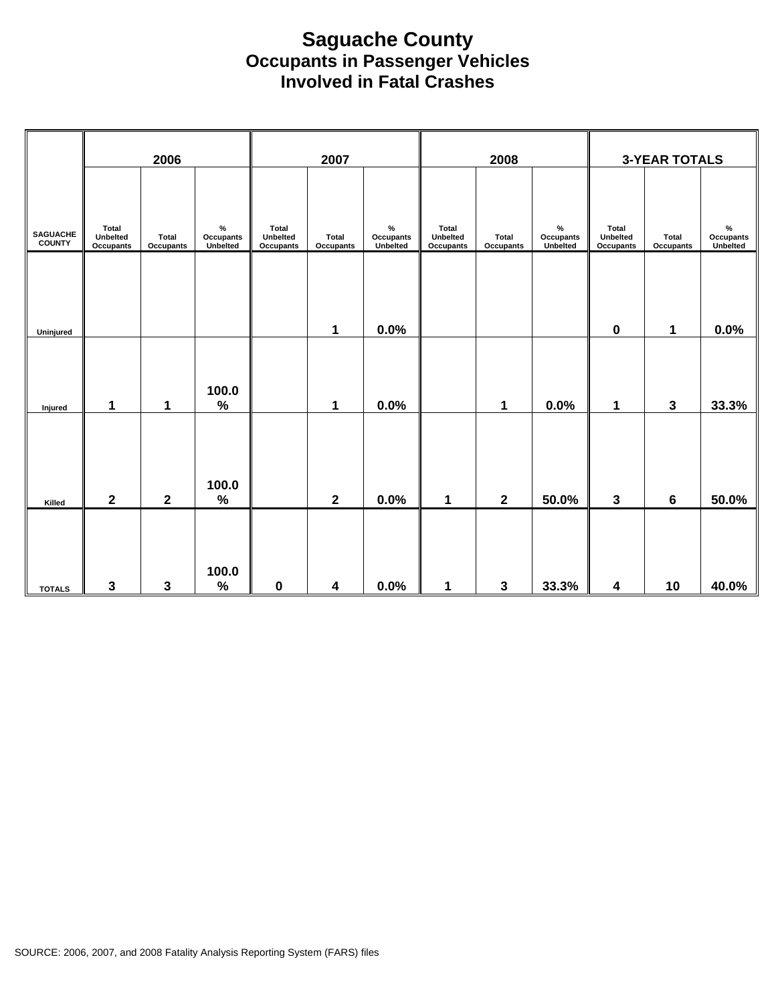#### **Saguache County Occupants in Passenger Vehicles Involved in Fatal Crashes**

|                                  | 2006                                  |                    | 2007                                 |                                |                           | 2008                                        |                                |                    | <b>3-YEAR TOTALS</b>          |                                       |                    |                                             |
|----------------------------------|---------------------------------------|--------------------|--------------------------------------|--------------------------------|---------------------------|---------------------------------------------|--------------------------------|--------------------|-------------------------------|---------------------------------------|--------------------|---------------------------------------------|
| <b>SAGUACHE</b><br><b>COUNTY</b> | Total<br>Unbelted<br><b>Occupants</b> | Total<br>Occupants | $\%$<br><b>Occupants</b><br>Unbelted | Total<br>Unbelted<br>Occupants | <b>Total</b><br>Occupants | $\%$<br><b>Occupants</b><br><b>Unbelted</b> | Total<br>Unbelted<br>Occupants | Total<br>Occupants | $\%$<br>Occupants<br>Unbelted | Total<br>Unbelted<br><b>Occupants</b> | Total<br>Occupants | $\%$<br><b>Occupants</b><br><b>Unbelted</b> |
| Uninjured                        |                                       |                    |                                      |                                | 1                         | 0.0%                                        |                                |                    |                               | $\pmb{0}$                             | 1                  | 0.0%                                        |
| Injured                          | 1                                     | 1                  | 100.0<br>$\%$                        |                                | 1                         | 0.0%                                        |                                | 1                  | 0.0%                          | 1                                     | 3                  | 33.3%                                       |
| Killed                           | $\mathbf{2}$                          | $\mathbf 2$        | 100.0<br>$\%$                        |                                | $\mathbf{2}$              | 0.0%                                        | 1                              | $\mathbf{2}$       | 50.0%                         | 3                                     | 6                  | 50.0%                                       |
| <b>TOTALS</b>                    | $\mathbf{3}$                          | $\mathbf 3$        | 100.0<br>$\%$                        | $\pmb{0}$                      | $\boldsymbol{4}$          | 0.0%                                        | 1                              | $\mathbf{3}$       | 33.3%                         | 4                                     | 10                 | 40.0%                                       |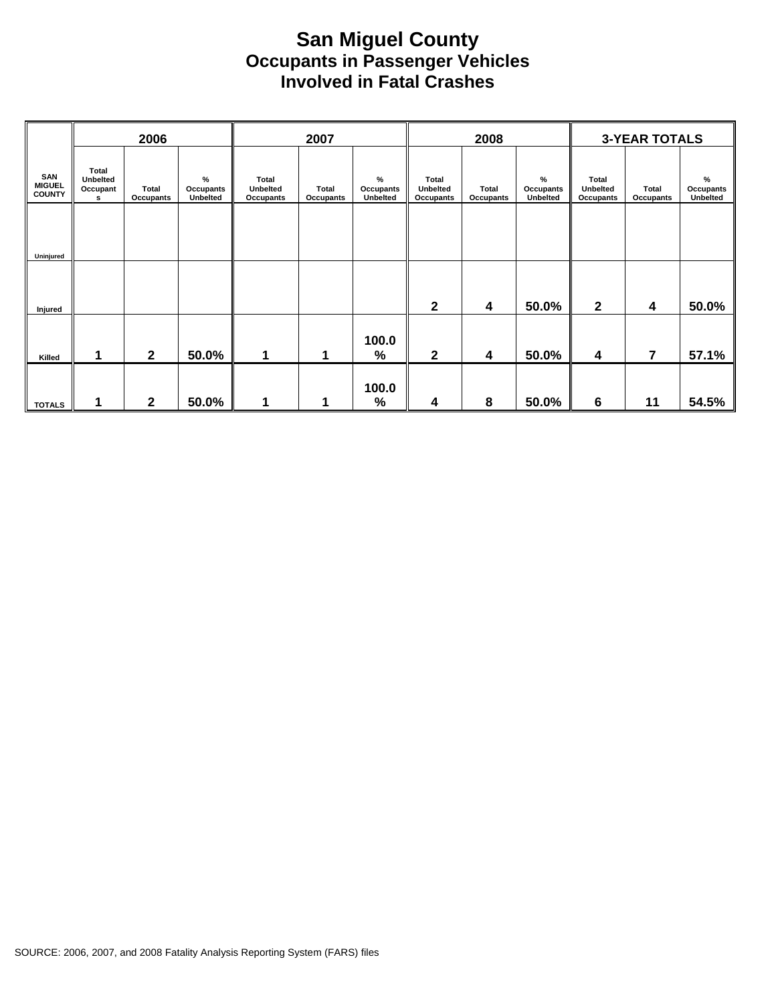#### **San Miguel County Occupants in Passenger Vehicles Involved in Fatal Crashes**

|                                       |                                    | 2006                      |                                      | 2007                                  |                           |                                      |                                              | 2008               |                                      | <b>3-YEAR TOTALS</b>                  |                    |                                   |  |
|---------------------------------------|------------------------------------|---------------------------|--------------------------------------|---------------------------------------|---------------------------|--------------------------------------|----------------------------------------------|--------------------|--------------------------------------|---------------------------------------|--------------------|-----------------------------------|--|
| SAN<br><b>MIGUEL</b><br><b>COUNTY</b> | Total<br>Unbelted<br>Occupant<br>s | <b>Total</b><br>Occupants | $\%$<br>Occupants<br><b>Unbelted</b> | Total<br><b>Unbelted</b><br>Occupants | <b>Total</b><br>Occupants | $\%$<br>Occupants<br><b>Unbelted</b> | <b>Total</b><br><b>Unbelted</b><br>Occupants | Total<br>Occupants | $\%$<br>Occupants<br><b>Unbelted</b> | Total<br><b>Unbelted</b><br>Occupants | Total<br>Occupants | %<br>Occupants<br><b>Unbelted</b> |  |
|                                       |                                    |                           |                                      |                                       |                           |                                      |                                              |                    |                                      |                                       |                    |                                   |  |
| Uninjured                             |                                    |                           |                                      |                                       |                           |                                      |                                              |                    |                                      |                                       |                    |                                   |  |
|                                       |                                    |                           |                                      |                                       |                           |                                      |                                              |                    |                                      |                                       |                    |                                   |  |
| Injured                               |                                    |                           |                                      |                                       |                           |                                      | $\mathbf{2}$                                 | 4                  | 50.0%                                | $\mathbf{2}$                          | 4                  | 50.0%                             |  |
|                                       |                                    |                           |                                      |                                       |                           | 100.0                                |                                              |                    |                                      |                                       |                    |                                   |  |
| Killed                                |                                    | $\mathbf{2}$              | 50.0%                                | 1                                     | 1                         | %                                    | $\mathbf{2}$                                 | 4                  | 50.0%                                | 4                                     | $\overline{7}$     | 57.1%                             |  |
|                                       |                                    |                           |                                      |                                       |                           | 100.0                                |                                              |                    |                                      |                                       |                    |                                   |  |
| <b>TOTALS</b>                         | 1                                  | $\mathbf{2}$              | 50.0%                                | 1                                     | 1                         | %                                    | 4                                            | 8                  | 50.0%                                | 6                                     | 11                 | 54.5%                             |  |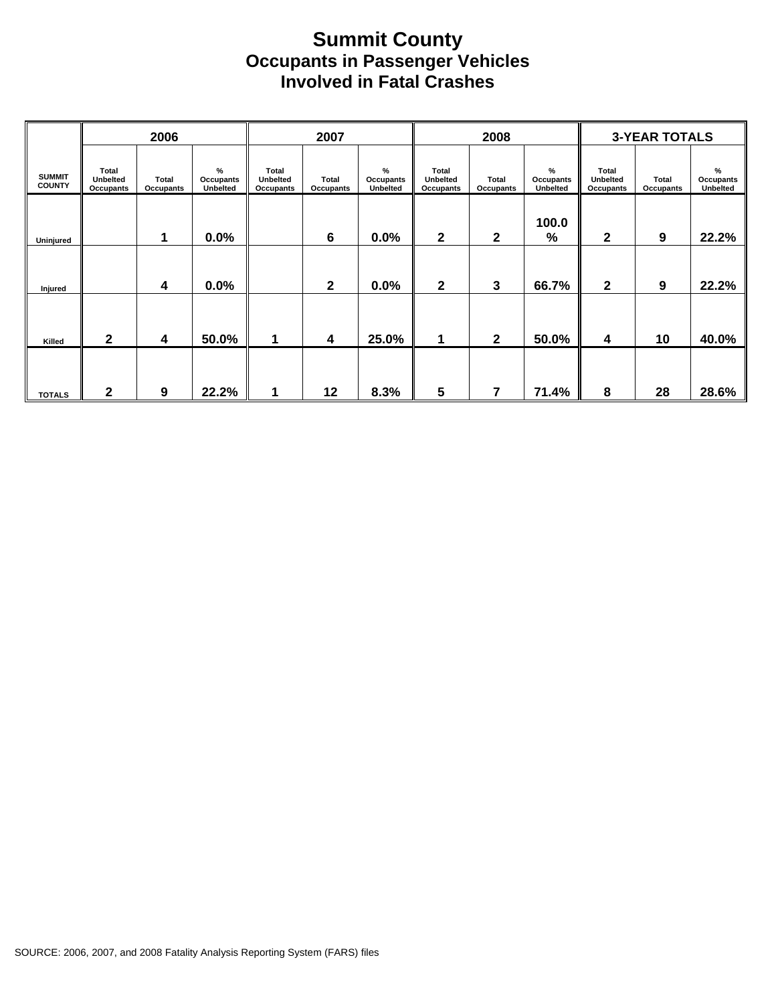#### **Summit County Occupants in Passenger Vehicles Involved in Fatal Crashes**

|                                | 2006                                  |                           |                                   | 2007                                         |                           |                            |                                | 2008                      |                                          | <b>3-YEAR TOTALS</b>                  |                    |                                        |  |
|--------------------------------|---------------------------------------|---------------------------|-----------------------------------|----------------------------------------------|---------------------------|----------------------------|--------------------------------|---------------------------|------------------------------------------|---------------------------------------|--------------------|----------------------------------------|--|
| <b>SUMMIT</b><br><b>COUNTY</b> | Total<br><b>Unbelted</b><br>Occupants | <b>Total</b><br>Occupants | %<br>Occupants<br><b>Unbelted</b> | Total<br><b>Unbelted</b><br><b>Occupants</b> | Total<br><b>Occupants</b> | %<br>Occupants<br>Unbelted | Total<br>Unbelted<br>Occupants | <b>Total</b><br>Occupants | %<br><b>Occupants</b><br><b>Unbelted</b> | Total<br><b>Unbelted</b><br>Occupants | Total<br>Occupants | $\frac{9}{6}$<br>Occupants<br>Unbelted |  |
| Uninjured                      |                                       | 1                         | 0.0%                              |                                              | $6\phantom{1}6$           | 0.0%                       | $\mathbf{2}$                   | $\mathbf{2}$              | 100.0<br>%                               | 2                                     | 9                  | 22.2%                                  |  |
| Injured                        |                                       | 4                         | 0.0%                              |                                              | $\mathbf{2}$              | 0.0%                       | $\mathbf{2}$                   | 3                         | 66.7%                                    | $\mathbf 2$                           | 9                  | 22.2%                                  |  |
| Killed                         | 2                                     | 4                         | 50.0%                             |                                              | $\boldsymbol{4}$          | 25.0%                      | 1                              | $\overline{2}$            | 50.0%                                    | 4                                     | 10                 | 40.0%                                  |  |
|                                |                                       |                           |                                   |                                              |                           |                            |                                |                           |                                          |                                       |                    |                                        |  |
| <b>TOTALS</b>                  | 2                                     | 9                         | 22.2%                             |                                              | 12                        | 8.3%                       | 5                              | 7                         | 71.4%                                    | 8                                     | 28                 | 28.6%                                  |  |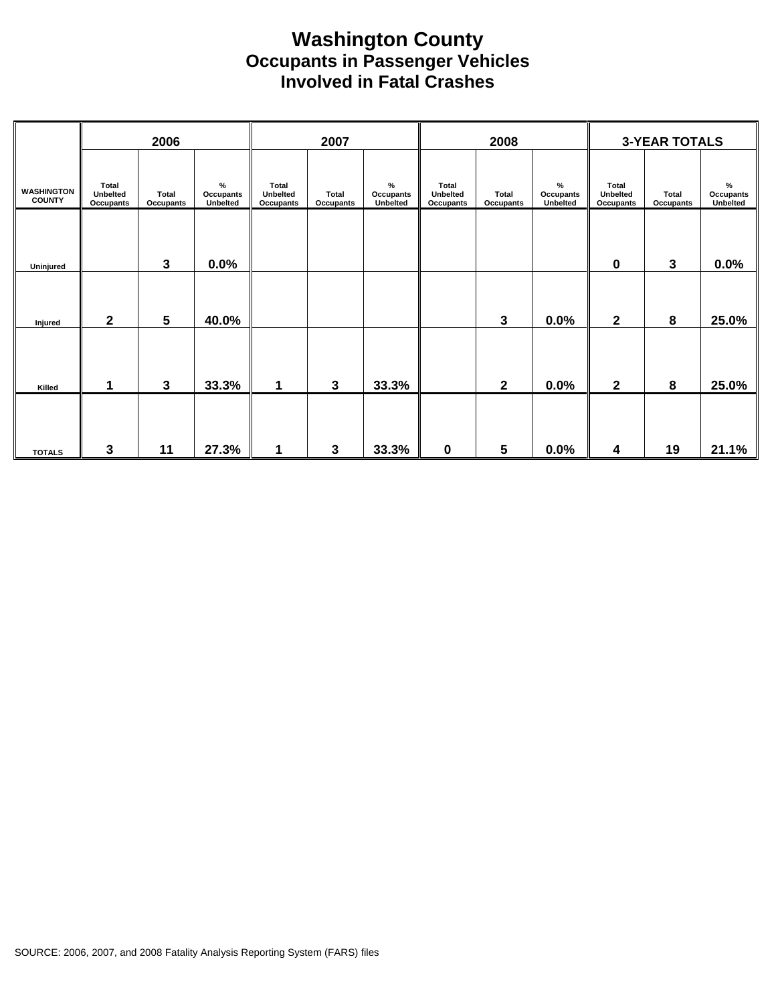#### **Washington County Occupants in Passenger Vehicles Involved in Fatal Crashes**

|                                    | 2006                                  |                           |                               | 2007                           |                           | 2008                          |                                              |                           | <b>3-YEAR TOTALS</b>          |                                       |                                  |                               |
|------------------------------------|---------------------------------------|---------------------------|-------------------------------|--------------------------------|---------------------------|-------------------------------|----------------------------------------------|---------------------------|-------------------------------|---------------------------------------|----------------------------------|-------------------------------|
| <b>WASHINGTON</b><br><b>COUNTY</b> | <b>Total</b><br>Unbelted<br>Occupants | <b>Total</b><br>Occupants | $\%$<br>Occupants<br>Unbelted | Total<br>Unbelted<br>Occupants | Total<br><b>Occupants</b> | $\%$<br>Occupants<br>Unbelted | <b>Total</b><br>Unbelted<br><b>Occupants</b> | Total<br><b>Occupants</b> | $\%$<br>Occupants<br>Unbelted | Total<br>Unbelted<br><b>Occupants</b> | <b>Total</b><br><b>Occupants</b> | $\%$<br>Occupants<br>Unbelted |
| Uninjured                          |                                       | 3                         | 0.0%                          |                                |                           |                               |                                              |                           |                               | 0                                     | 3                                | 0.0%                          |
| Injured                            | $\mathbf{2}$                          | $5\phantom{1}$            | 40.0%                         |                                |                           |                               |                                              | 3                         | 0.0%                          | $\overline{\mathbf{2}}$               | 8                                | 25.0%                         |
| Killed                             | 1                                     | $\mathbf{3}$              | 33.3%                         | 1                              | $\mathbf{3}$              | 33.3%                         |                                              | $\mathbf{2}$              | 0.0%                          | $\mathbf 2$                           | 8                                | 25.0%                         |
| <b>TOTALS</b>                      | $\mathbf{3}$                          | 11                        | 27.3%                         | 1                              | 3                         | 33.3%                         | $\mathbf 0$                                  | 5                         | 0.0%                          | 4                                     | 19                               | 21.1%                         |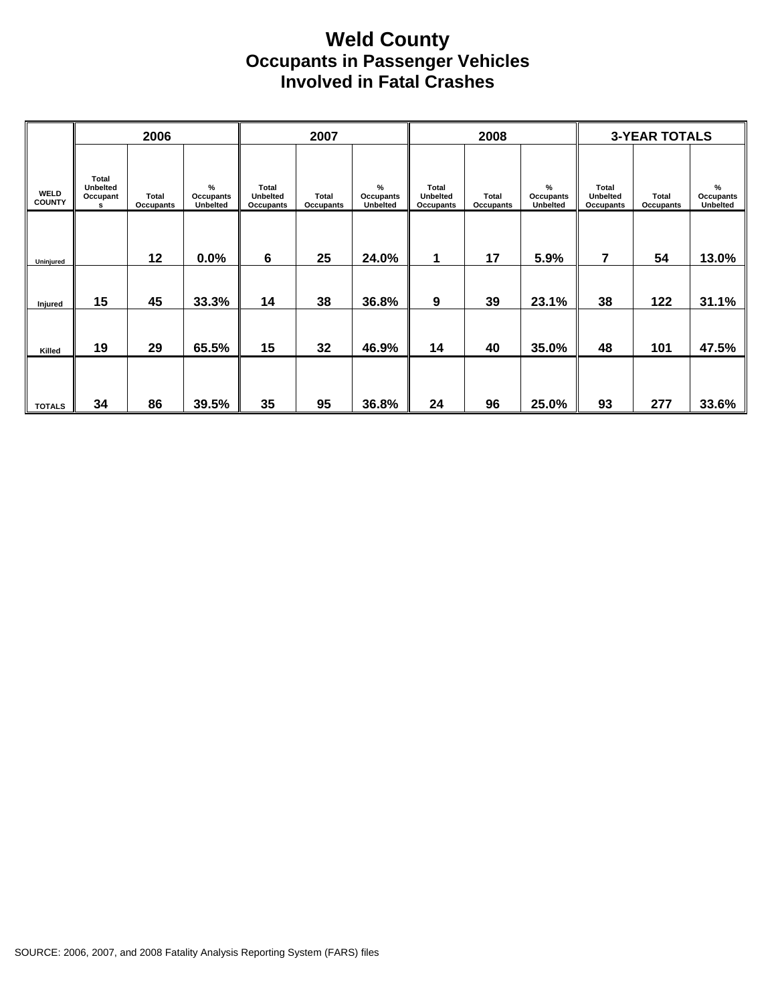#### **Weld County Occupants in Passenger Vehicles Involved in Fatal Crashes**

|                              | 2006                                      |                                  |                                               | 2007                                                |                                  |                               |                                                     | 2008                             |                                   | <b>3-YEAR TOTALS</b>                                |                           |                                   |  |
|------------------------------|-------------------------------------------|----------------------------------|-----------------------------------------------|-----------------------------------------------------|----------------------------------|-------------------------------|-----------------------------------------------------|----------------------------------|-----------------------------------|-----------------------------------------------------|---------------------------|-----------------------------------|--|
| <b>WELD</b><br><b>COUNTY</b> | Total<br><b>Unbelted</b><br>Occupant<br>s | <b>Total</b><br><b>Occupants</b> | $\frac{9}{6}$<br>Occupants<br><b>Unbelted</b> | <b>Total</b><br><b>Unbelted</b><br><b>Occupants</b> | <b>Total</b><br><b>Occupants</b> | $\%$<br>Occupants<br>Unbelted | <b>Total</b><br><b>Unbelted</b><br><b>Occupants</b> | <b>Total</b><br><b>Occupants</b> | %<br>Occupants<br><b>Unbelted</b> | <b>Total</b><br><b>Unbelted</b><br><b>Occupants</b> | Total<br><b>Occupants</b> | %<br>Occupants<br><b>Unbelted</b> |  |
| Uninjured                    |                                           | 12                               | 0.0%                                          | 6                                                   | 25                               | 24.0%                         | 1                                                   | 17                               | 5.9%                              | 7                                                   | 54                        | 13.0%                             |  |
| Injured                      | 15                                        | 45                               | 33.3%                                         | 14                                                  | 38                               | 36.8%                         | 9                                                   | 39                               | 23.1%                             | 38                                                  | 122                       | 31.1%                             |  |
| Killed                       | 19                                        | 29                               | 65.5%                                         | 15                                                  | 32                               | 46.9%                         | 14                                                  | 40                               | 35.0%                             | 48                                                  | 101                       | 47.5%                             |  |
| <b>TOTALS</b>                | 34                                        | 86                               | 39.5%                                         | 35                                                  | 95                               | 36.8%                         | 24                                                  | 96                               | 25.0%                             | 93                                                  | 277                       | 33.6%                             |  |